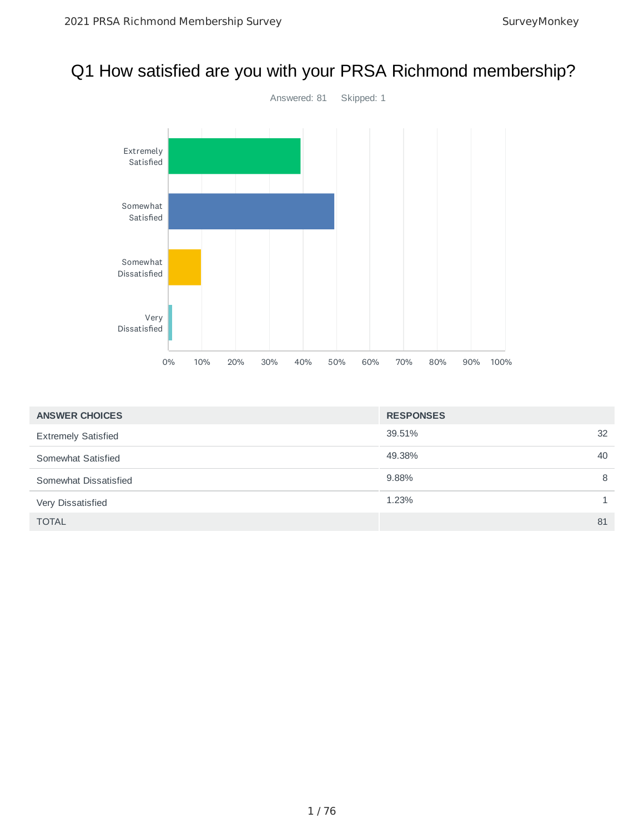## Q1 How satisfied are you with your PRSA Richmond membership?



| <b>ANSWER CHOICES</b>      | <b>RESPONSES</b> |    |
|----------------------------|------------------|----|
| <b>Extremely Satisfied</b> | 39.51%           | 32 |
| Somewhat Satisfied         | 49.38%           | 40 |
| Somewhat Dissatisfied      | 9.88%            | 8  |
| Very Dissatisfied          | 1.23%            |    |
| <b>TOTAL</b>               |                  | 81 |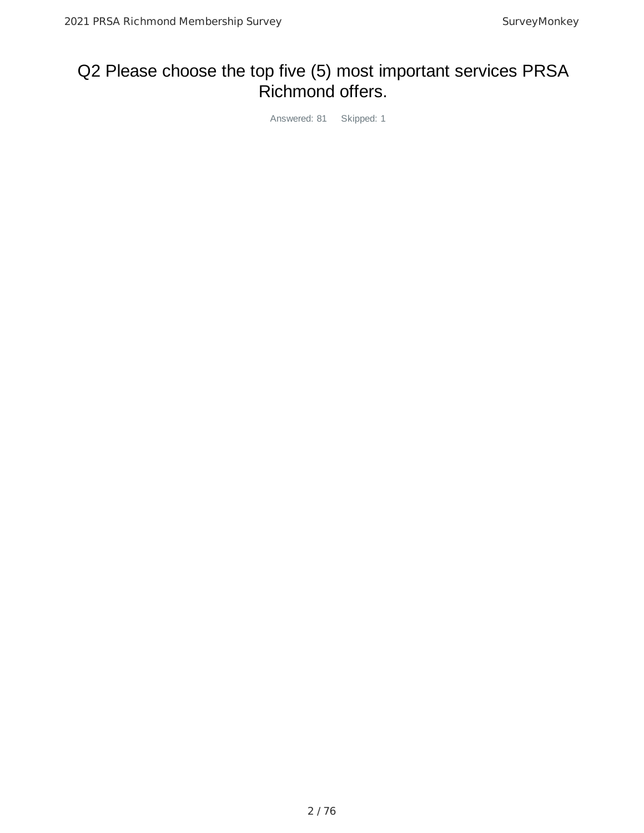## Q2 Please choose the top five (5) most important services PRSA Richmond offers.

Answered: 81 Skipped: 1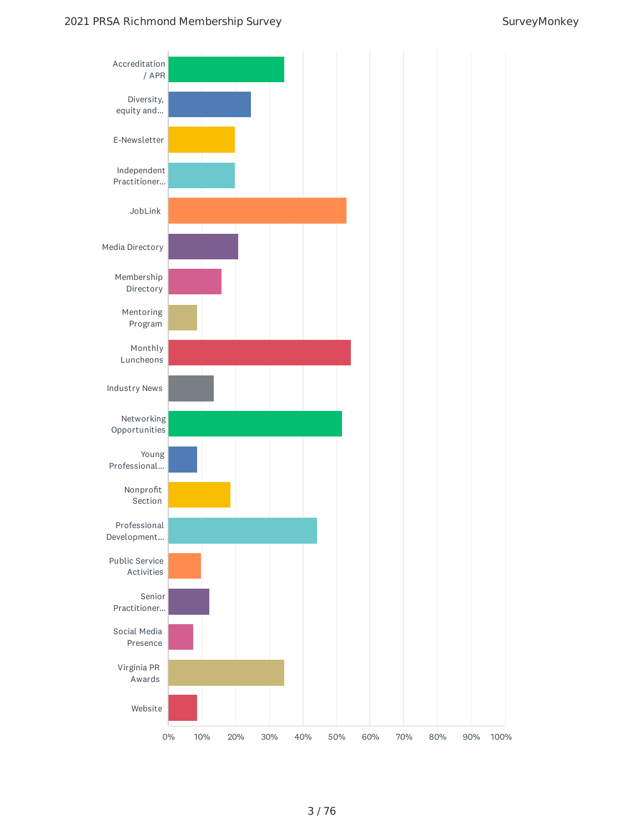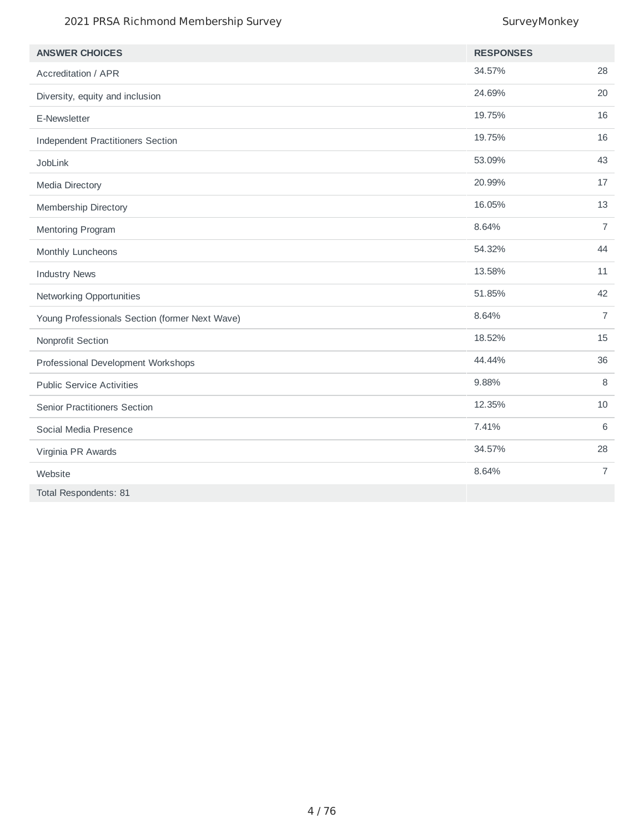#### 2021 PRSA Richmond Membership Survey Survey Monkey

| <b>ANSWER CHOICES</b>                          | <b>RESPONSES</b> |                |
|------------------------------------------------|------------------|----------------|
| <b>Accreditation / APR</b>                     | 34.57%           | 28             |
| Diversity, equity and inclusion                | 24.69%           | 20             |
| E-Newsletter                                   | 19.75%           | 16             |
| <b>Independent Practitioners Section</b>       | 19.75%           | 16             |
| <b>JobLink</b>                                 | 53.09%           | 43             |
| Media Directory                                | 20.99%           | 17             |
| Membership Directory                           | 16.05%           | 13             |
| Mentoring Program                              | 8.64%            | $\overline{7}$ |
| Monthly Luncheons                              | 54.32%           | 44             |
| <b>Industry News</b>                           | 13.58%           | 11             |
| Networking Opportunities                       | 51.85%           | 42             |
| Young Professionals Section (former Next Wave) | 8.64%            | $\overline{7}$ |
| Nonprofit Section                              | 18.52%           | 15             |
| Professional Development Workshops             | 44.44%           | 36             |
| <b>Public Service Activities</b>               | 9.88%            | 8              |
| Senior Practitioners Section                   | 12.35%           | 10             |
| Social Media Presence                          | 7.41%            | 6              |
| Virginia PR Awards                             | 34.57%           | 28             |
| Website                                        | 8.64%            | $\overline{7}$ |
| Total Respondents: 81                          |                  |                |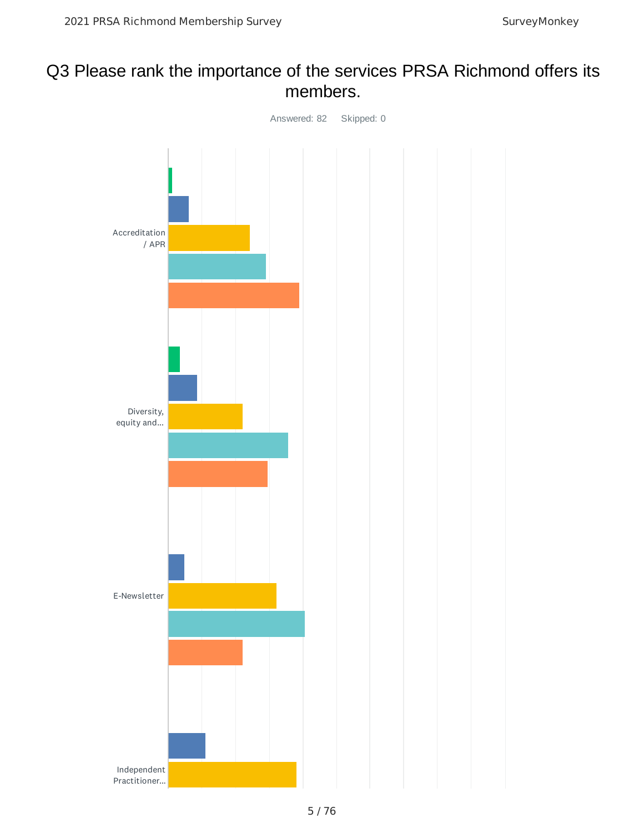## Q3 Please rank the importance of the services PRSA Richmond offers its members.

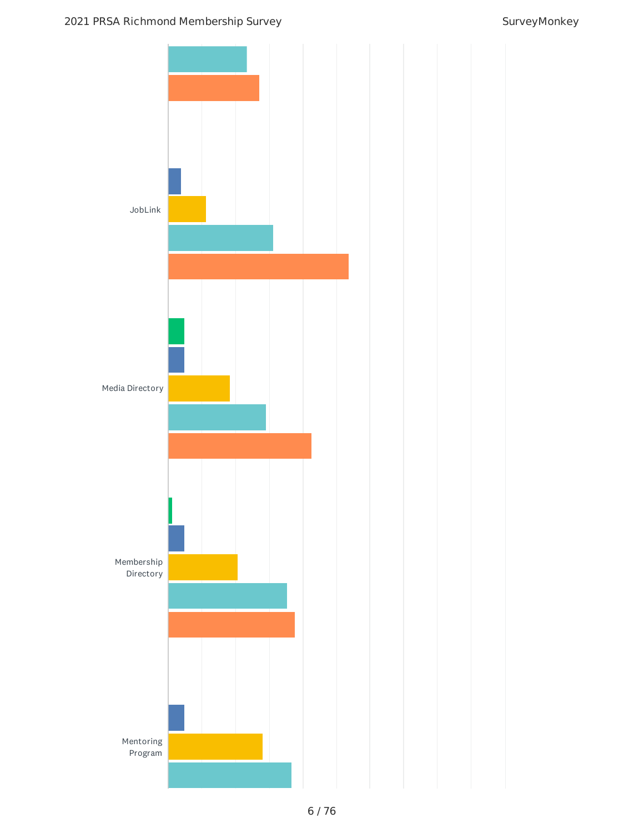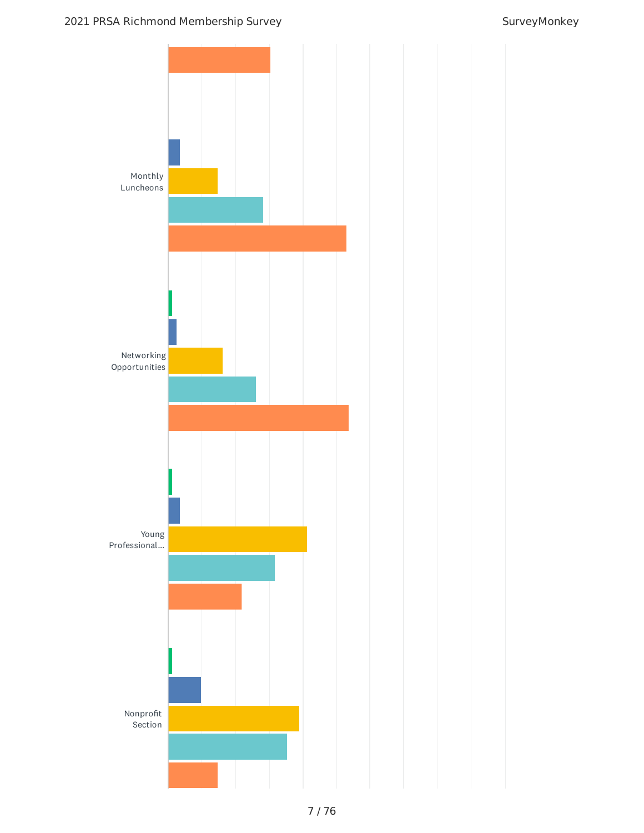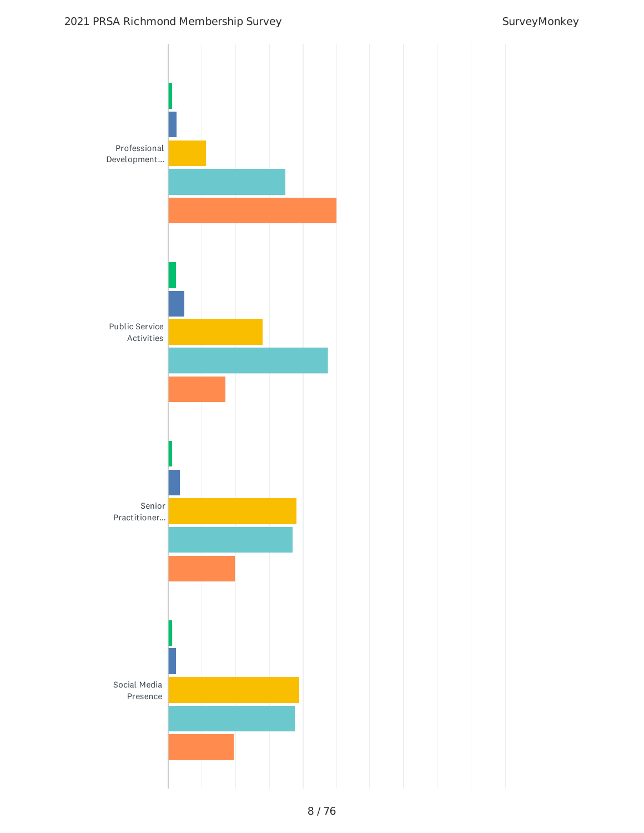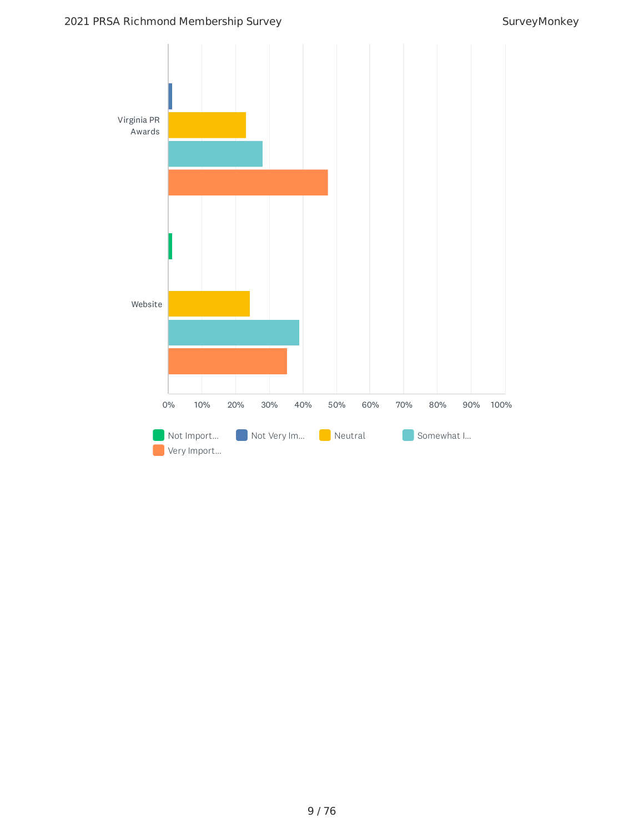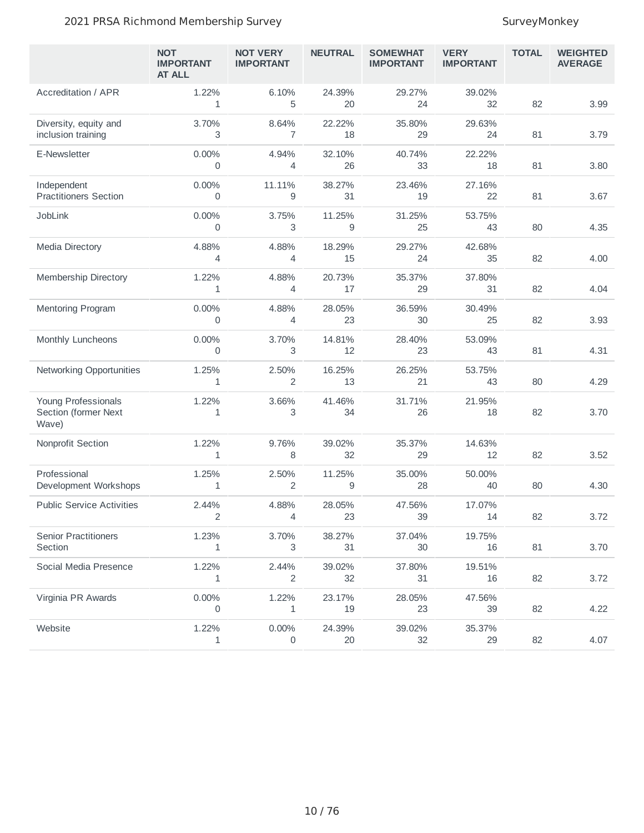#### 2021 PRSA Richmond Membership Survey Survey Survey Monkey

|                                                      | <b>NOT</b><br><b>IMPORTANT</b><br><b>AT ALL</b> | <b>NOT VERY</b><br><b>IMPORTANT</b> | <b>NEUTRAL</b> | <b>SOMEWHAT</b><br><b>IMPORTANT</b> | <b>VERY</b><br><b>IMPORTANT</b> | <b>TOTAL</b> | <b>WEIGHTED</b><br><b>AVERAGE</b> |
|------------------------------------------------------|-------------------------------------------------|-------------------------------------|----------------|-------------------------------------|---------------------------------|--------------|-----------------------------------|
| <b>Accreditation / APR</b>                           | 1.22%<br>$\mathbf{1}$                           | 6.10%<br>5                          | 24.39%<br>20   | 29.27%<br>24                        | 39.02%<br>32                    | 82           | 3.99                              |
| Diversity, equity and<br>inclusion training          | 3.70%<br>3                                      | 8.64%<br>$\overline{7}$             | 22.22%<br>18   | 35.80%<br>29                        | 29.63%<br>24                    | 81           | 3.79                              |
| E-Newsletter                                         | 0.00%<br>0                                      | 4.94%<br>$\overline{4}$             | 32.10%<br>26   | 40.74%<br>33                        | 22.22%<br>18                    | 81           | 3.80                              |
| Independent<br><b>Practitioners Section</b>          | 0.00%<br>0                                      | 11.11%<br>9                         | 38.27%<br>31   | 23.46%<br>19                        | 27.16%<br>22                    | 81           | 3.67                              |
| JobLink                                              | 0.00%<br>$\mathbf 0$                            | 3.75%<br>3                          | 11.25%<br>9    | 31.25%<br>25                        | 53.75%<br>43                    | 80           | 4.35                              |
| <b>Media Directory</b>                               | 4.88%<br>4                                      | 4.88%<br>4                          | 18.29%<br>15   | 29.27%<br>24                        | 42.68%<br>35                    | 82           | 4.00                              |
| <b>Membership Directory</b>                          | 1.22%<br>1                                      | 4.88%<br>4                          | 20.73%<br>17   | 35.37%<br>29                        | 37.80%<br>31                    | 82           | 4.04                              |
| <b>Mentoring Program</b>                             | 0.00%<br>0                                      | 4.88%<br>$\overline{4}$             | 28.05%<br>23   | 36.59%<br>30                        | 30.49%<br>25                    | 82           | 3.93                              |
| Monthly Luncheons                                    | 0.00%<br>0                                      | 3.70%<br>3                          | 14.81%<br>12   | 28.40%<br>23                        | 53.09%<br>43                    | 81           | 4.31                              |
| Networking Opportunities                             | 1.25%<br>1                                      | 2.50%<br>$\overline{2}$             | 16.25%<br>13   | 26.25%<br>21                        | 53.75%<br>43                    | 80           | 4.29                              |
| Young Professionals<br>Section (former Next<br>Wave) | 1.22%<br>1                                      | 3.66%<br>3                          | 41.46%<br>34   | 31.71%<br>26                        | 21.95%<br>18                    | 82           | 3.70                              |
| Nonprofit Section                                    | 1.22%<br>1                                      | 9.76%<br>8                          | 39.02%<br>32   | 35.37%<br>29                        | 14.63%<br>12                    | 82           | 3.52                              |
| Professional<br>Development Workshops                | 1.25%<br>1                                      | 2.50%<br>2                          | 11.25%<br>9    | 35.00%<br>28                        | 50.00%<br>40                    | 80           | 4.30                              |
| <b>Public Service Activities</b>                     | 2.44%<br>2                                      | 4.88%<br>4                          | 28.05%<br>23   | 47.56%<br>39                        | 17.07%<br>14                    | 82           | 3.72                              |
| <b>Senior Practitioners</b><br>Section               | 1.23%<br>1                                      | 3.70%<br>3                          | 38.27%<br>31   | 37.04%<br>30                        | 19.75%<br>16                    | 81           | 3.70                              |
| Social Media Presence                                | 1.22%<br>1                                      | 2.44%<br>2                          | 39.02%<br>32   | 37.80%<br>31                        | 19.51%<br>16                    | 82           | 3.72                              |
| Virginia PR Awards                                   | 0.00%<br>$\mathbf 0$                            | 1.22%<br>$\mathbf{1}$               | 23.17%<br>19   | 28.05%<br>23                        | 47.56%<br>39                    | 82           | 4.22                              |
| Website                                              | 1.22%<br>1                                      | 0.00%<br>0                          | 24.39%<br>20   | 39.02%<br>32                        | 35.37%<br>29                    | 82           | 4.07                              |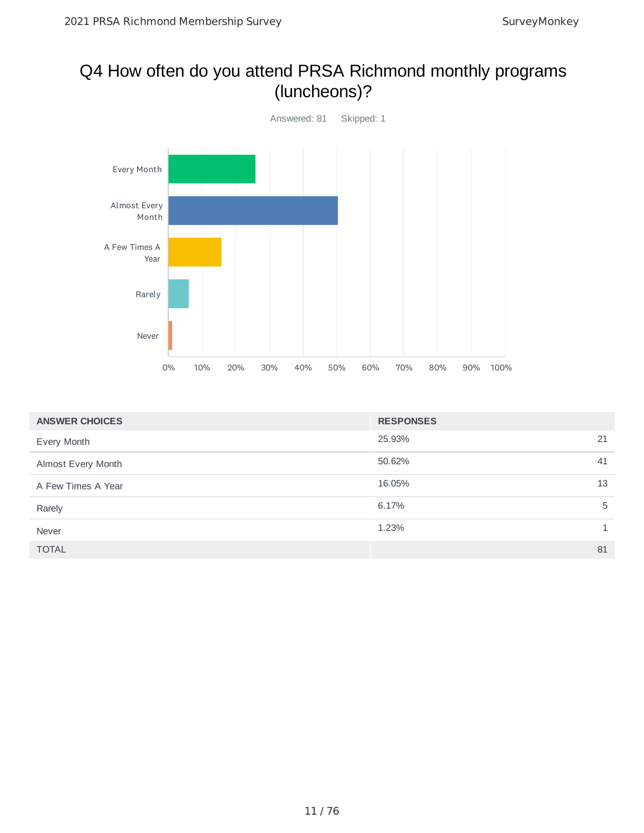### Q4 How often do you attend PRSA Richmond monthly programs (luncheons)?



| <b>ANSWER CHOICES</b> | <b>RESPONSES</b> |
|-----------------------|------------------|
| Every Month           | 25.93%<br>21     |
| Almost Every Month    | 50.62%<br>41     |
| A Few Times A Year    | 16.05%<br>13     |
| Rarely                | 6.17%<br>5       |
| Never                 | 1.23%            |
| <b>TOTAL</b>          | 81               |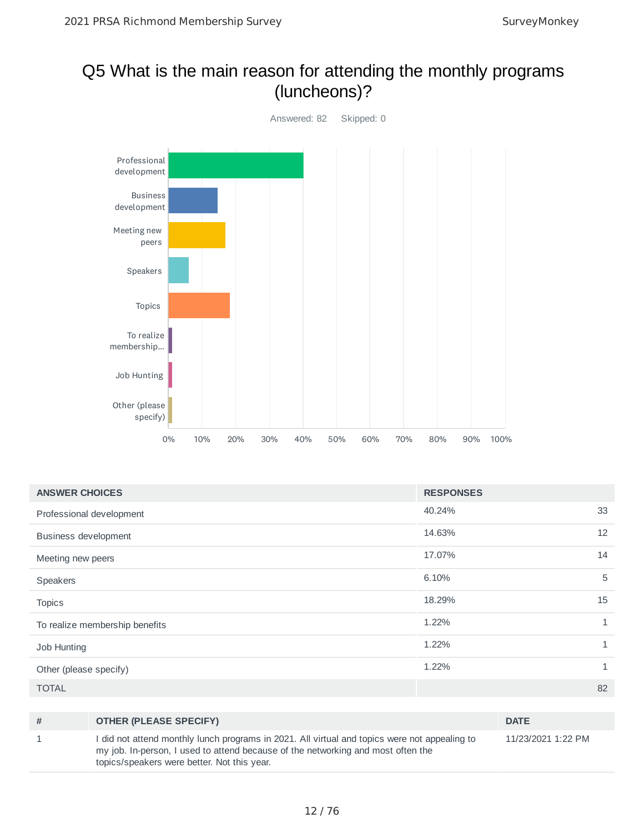### Q5 What is the main reason for attending the monthly programs (luncheons)?



| <b>ANSWER CHOICES</b>          | <b>RESPONSES</b> |              |
|--------------------------------|------------------|--------------|
| Professional development       | 40.24%           | 33           |
| <b>Business development</b>    | 14.63%           | 12           |
| Meeting new peers              | 17.07%           | 14           |
| Speakers                       | 6.10%            | 5            |
| <b>Topics</b>                  | 18.29%           | 15           |
| To realize membership benefits | 1.22%            | $\mathbf{1}$ |
| Job Hunting                    | 1.22%            | $\mathbf{1}$ |
| Other (please specify)         | 1.22%            | $\mathbf{1}$ |
| <b>TOTAL</b>                   |                  | 82           |

| # | <b>OTHER (PLEASE SPECIFY)</b>                                                                                                                                                                                                    | <b>DATE</b>        |
|---|----------------------------------------------------------------------------------------------------------------------------------------------------------------------------------------------------------------------------------|--------------------|
|   | I did not attend monthly lunch programs in 2021. All virtual and topics were not appealing to<br>my job. In-person, I used to attend because of the networking and most often the<br>topics/speakers were better. Not this year. | 11/23/2021 1:22 PM |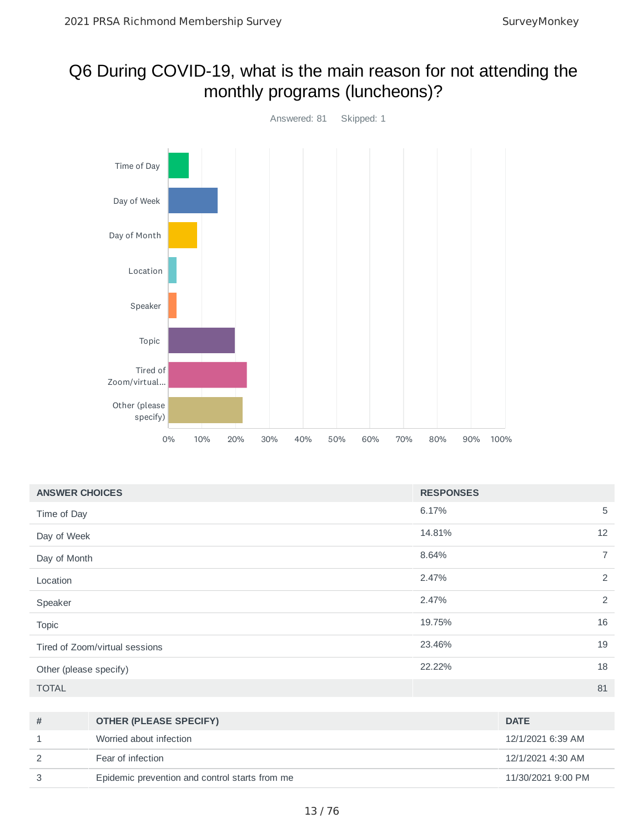### Q6 During COVID-19, what is the main reason for not attending the monthly programs (luncheons)?



| <b>ANSWER CHOICES</b>          | <b>RESPONSES</b> |                |
|--------------------------------|------------------|----------------|
| Time of Day                    | 6.17%            | 5              |
| Day of Week                    | 14.81%           | 12             |
| Day of Month                   | 8.64%            | $\overline{7}$ |
| Location                       | 2.47%            | 2              |
| Speaker                        | 2.47%            | 2              |
| <b>Topic</b>                   | 19.75%           | 16             |
| Tired of Zoom/virtual sessions | 23.46%           | 19             |
| Other (please specify)         | 22.22%           | 18             |
| <b>TOTAL</b>                   |                  | 81             |

| # | <b>OTHER (PLEASE SPECIFY)</b>                  | <b>DATE</b>        |
|---|------------------------------------------------|--------------------|
|   | Worried about infection                        | 12/1/2021 6:39 AM  |
|   | Fear of infection                              | 12/1/2021 4:30 AM  |
|   | Epidemic prevention and control starts from me | 11/30/2021 9:00 PM |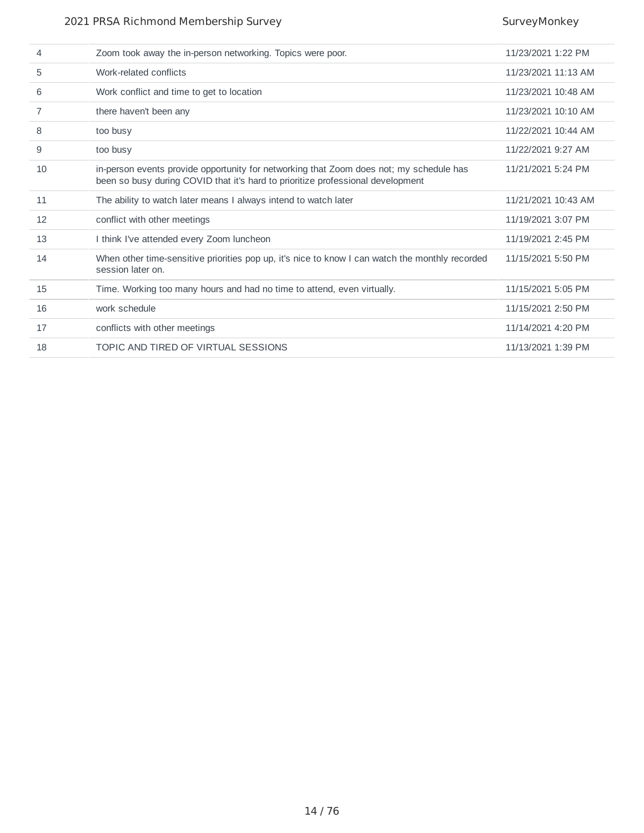#### 2021 PRSA Richmond Membership Survey Survey Survey Monkey

| 4  | Zoom took away the in-person networking. Topics were poor.                                                                                                                 | 11/23/2021 1:22 PM  |
|----|----------------------------------------------------------------------------------------------------------------------------------------------------------------------------|---------------------|
| 5  | Work-related conflicts                                                                                                                                                     | 11/23/2021 11:13 AM |
| 6  | Work conflict and time to get to location                                                                                                                                  | 11/23/2021 10:48 AM |
| 7  | there haven't been any                                                                                                                                                     | 11/23/2021 10:10 AM |
| 8  | too busy                                                                                                                                                                   | 11/22/2021 10:44 AM |
| 9  | too busy                                                                                                                                                                   | 11/22/2021 9:27 AM  |
| 10 | in-person events provide opportunity for networking that Zoom does not; my schedule has<br>been so busy during COVID that it's hard to prioritize professional development | 11/21/2021 5:24 PM  |
| 11 | The ability to watch later means I always intend to watch later                                                                                                            | 11/21/2021 10:43 AM |
| 12 | conflict with other meetings                                                                                                                                               | 11/19/2021 3:07 PM  |
| 13 | I think I've attended every Zoom luncheon                                                                                                                                  | 11/19/2021 2:45 PM  |
| 14 | When other time-sensitive priorities pop up, it's nice to know I can watch the monthly recorded<br>session later on.                                                       | 11/15/2021 5:50 PM  |
| 15 | Time. Working too many hours and had no time to attend, even virtually.                                                                                                    | 11/15/2021 5:05 PM  |
| 16 | work schedule                                                                                                                                                              | 11/15/2021 2:50 PM  |
| 17 | conflicts with other meetings                                                                                                                                              | 11/14/2021 4:20 PM  |
| 18 | TOPIC AND TIRED OF VIRTUAL SESSIONS                                                                                                                                        | 11/13/2021 1:39 PM  |
|    |                                                                                                                                                                            |                     |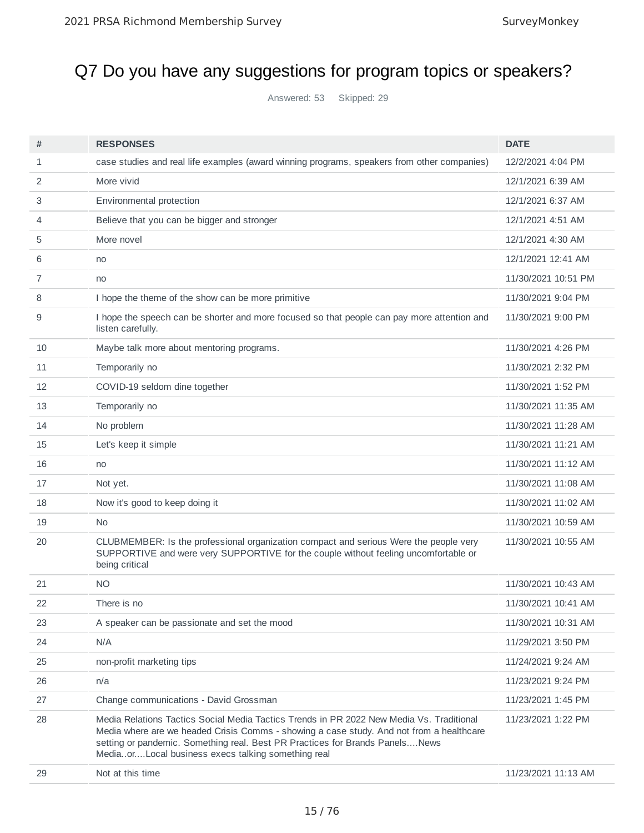# Q7 Do you have any suggestions for program topics or speakers?

Answered: 53 Skipped: 29

| #  | <b>RESPONSES</b>                                                                                                                                                                                                                                                                                                           | <b>DATE</b>         |
|----|----------------------------------------------------------------------------------------------------------------------------------------------------------------------------------------------------------------------------------------------------------------------------------------------------------------------------|---------------------|
| 1  | case studies and real life examples (award winning programs, speakers from other companies)                                                                                                                                                                                                                                | 12/2/2021 4:04 PM   |
| 2  | More vivid                                                                                                                                                                                                                                                                                                                 | 12/1/2021 6:39 AM   |
| 3  | Environmental protection                                                                                                                                                                                                                                                                                                   | 12/1/2021 6:37 AM   |
| 4  | Believe that you can be bigger and stronger                                                                                                                                                                                                                                                                                | 12/1/2021 4:51 AM   |
| 5  | More novel                                                                                                                                                                                                                                                                                                                 | 12/1/2021 4:30 AM   |
| 6  | no                                                                                                                                                                                                                                                                                                                         | 12/1/2021 12:41 AM  |
| 7  | no                                                                                                                                                                                                                                                                                                                         | 11/30/2021 10:51 PM |
| 8  | I hope the theme of the show can be more primitive                                                                                                                                                                                                                                                                         | 11/30/2021 9:04 PM  |
| 9  | I hope the speech can be shorter and more focused so that people can pay more attention and<br>listen carefully.                                                                                                                                                                                                           | 11/30/2021 9:00 PM  |
| 10 | Maybe talk more about mentoring programs.                                                                                                                                                                                                                                                                                  | 11/30/2021 4:26 PM  |
| 11 | Temporarily no                                                                                                                                                                                                                                                                                                             | 11/30/2021 2:32 PM  |
| 12 | COVID-19 seldom dine together                                                                                                                                                                                                                                                                                              | 11/30/2021 1:52 PM  |
| 13 | Temporarily no                                                                                                                                                                                                                                                                                                             | 11/30/2021 11:35 AM |
| 14 | No problem                                                                                                                                                                                                                                                                                                                 | 11/30/2021 11:28 AM |
| 15 | Let's keep it simple                                                                                                                                                                                                                                                                                                       | 11/30/2021 11:21 AM |
| 16 | no                                                                                                                                                                                                                                                                                                                         | 11/30/2021 11:12 AM |
| 17 | Not yet.                                                                                                                                                                                                                                                                                                                   | 11/30/2021 11:08 AM |
| 18 | Now it's good to keep doing it                                                                                                                                                                                                                                                                                             | 11/30/2021 11:02 AM |
| 19 | No.                                                                                                                                                                                                                                                                                                                        | 11/30/2021 10:59 AM |
| 20 | CLUBMEMBER: Is the professional organization compact and serious Were the people very<br>SUPPORTIVE and were very SUPPORTIVE for the couple without feeling uncomfortable or<br>being critical                                                                                                                             | 11/30/2021 10:55 AM |
| 21 | ΝO                                                                                                                                                                                                                                                                                                                         | 11/30/2021 10:43 AM |
| 22 | There is no                                                                                                                                                                                                                                                                                                                | 11/30/2021 10:41 AM |
| 23 | A speaker can be passionate and set the mood                                                                                                                                                                                                                                                                               | 11/30/2021 10:31 AM |
| 24 | N/A                                                                                                                                                                                                                                                                                                                        | 11/29/2021 3:50 PM  |
| 25 | non-profit marketing tips                                                                                                                                                                                                                                                                                                  | 11/24/2021 9:24 AM  |
| 26 | n/a                                                                                                                                                                                                                                                                                                                        | 11/23/2021 9:24 PM  |
| 27 | Change communications - David Grossman                                                                                                                                                                                                                                                                                     | 11/23/2021 1:45 PM  |
| 28 | Media Relations Tactics Social Media Tactics Trends in PR 2022 New Media Vs. Traditional<br>Media where are we headed Crisis Comms - showing a case study. And not from a healthcare<br>setting or pandemic. Something real. Best PR Practices for Brands PanelsNews<br>MediaorLocal business execs talking something real | 11/23/2021 1:22 PM  |
| 29 | Not at this time                                                                                                                                                                                                                                                                                                           | 11/23/2021 11:13 AM |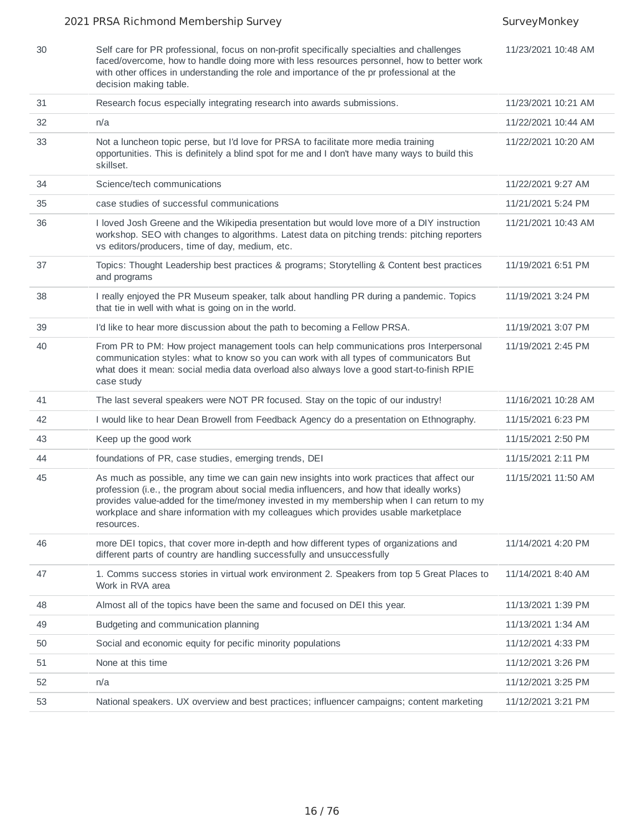#### 2021 PRSA Richmond Membership Survey Survey Survey Monkey

| 30 | Self care for PR professional, focus on non-profit specifically specialties and challenges<br>faced/overcome, how to handle doing more with less resources personnel, how to better work<br>with other offices in understanding the role and importance of the pr professional at the<br>decision making table.                                                                            | 11/23/2021 10:48 AM |
|----|--------------------------------------------------------------------------------------------------------------------------------------------------------------------------------------------------------------------------------------------------------------------------------------------------------------------------------------------------------------------------------------------|---------------------|
| 31 | Research focus especially integrating research into awards submissions.                                                                                                                                                                                                                                                                                                                    | 11/23/2021 10:21 AM |
| 32 | n/a                                                                                                                                                                                                                                                                                                                                                                                        | 11/22/2021 10:44 AM |
| 33 | Not a luncheon topic perse, but I'd love for PRSA to facilitate more media training<br>opportunities. This is definitely a blind spot for me and I don't have many ways to build this<br>skillset.                                                                                                                                                                                         | 11/22/2021 10:20 AM |
| 34 | Science/tech communications                                                                                                                                                                                                                                                                                                                                                                | 11/22/2021 9:27 AM  |
| 35 | case studies of successful communications                                                                                                                                                                                                                                                                                                                                                  | 11/21/2021 5:24 PM  |
| 36 | I loved Josh Greene and the Wikipedia presentation but would love more of a DIY instruction<br>workshop. SEO with changes to algorithms. Latest data on pitching trends: pitching reporters<br>vs editors/producers, time of day, medium, etc.                                                                                                                                             | 11/21/2021 10:43 AM |
| 37 | Topics: Thought Leadership best practices & programs; Storytelling & Content best practices<br>and programs                                                                                                                                                                                                                                                                                | 11/19/2021 6:51 PM  |
| 38 | I really enjoyed the PR Museum speaker, talk about handling PR during a pandemic. Topics<br>that tie in well with what is going on in the world.                                                                                                                                                                                                                                           | 11/19/2021 3:24 PM  |
| 39 | I'd like to hear more discussion about the path to becoming a Fellow PRSA.                                                                                                                                                                                                                                                                                                                 | 11/19/2021 3:07 PM  |
| 40 | From PR to PM: How project management tools can help communications pros Interpersonal<br>communication styles: what to know so you can work with all types of communicators But<br>what does it mean: social media data overload also always love a good start-to-finish RPIE<br>case study                                                                                               | 11/19/2021 2:45 PM  |
| 41 | The last several speakers were NOT PR focused. Stay on the topic of our industry!                                                                                                                                                                                                                                                                                                          | 11/16/2021 10:28 AM |
| 42 | I would like to hear Dean Browell from Feedback Agency do a presentation on Ethnography.                                                                                                                                                                                                                                                                                                   | 11/15/2021 6:23 PM  |
| 43 | Keep up the good work                                                                                                                                                                                                                                                                                                                                                                      | 11/15/2021 2:50 PM  |
| 44 | foundations of PR, case studies, emerging trends, DEI                                                                                                                                                                                                                                                                                                                                      | 11/15/2021 2:11 PM  |
| 45 | As much as possible, any time we can gain new insights into work practices that affect our<br>profession (i.e., the program about social media influencers, and how that ideally works)<br>provides value-added for the time/money invested in my membership when I can return to my<br>workplace and share information with my colleagues which provides usable marketplace<br>resources. | 11/15/2021 11:50 AM |
| 46 | more DEI topics, that cover more in-depth and how different types of organizations and<br>different parts of country are handling successfully and unsuccessfully                                                                                                                                                                                                                          | 11/14/2021 4:20 PM  |
| 47 | 1. Comms success stories in virtual work environment 2. Speakers from top 5 Great Places to<br>Work in RVA area                                                                                                                                                                                                                                                                            | 11/14/2021 8:40 AM  |
| 48 | Almost all of the topics have been the same and focused on DEI this year.                                                                                                                                                                                                                                                                                                                  | 11/13/2021 1:39 PM  |
| 49 | Budgeting and communication planning                                                                                                                                                                                                                                                                                                                                                       | 11/13/2021 1:34 AM  |
| 50 | Social and economic equity for pecific minority populations                                                                                                                                                                                                                                                                                                                                | 11/12/2021 4:33 PM  |
| 51 | None at this time                                                                                                                                                                                                                                                                                                                                                                          | 11/12/2021 3:26 PM  |
| 52 | n/a                                                                                                                                                                                                                                                                                                                                                                                        | 11/12/2021 3:25 PM  |
| 53 | National speakers. UX overview and best practices; influencer campaigns; content marketing                                                                                                                                                                                                                                                                                                 | 11/12/2021 3:21 PM  |
|    |                                                                                                                                                                                                                                                                                                                                                                                            |                     |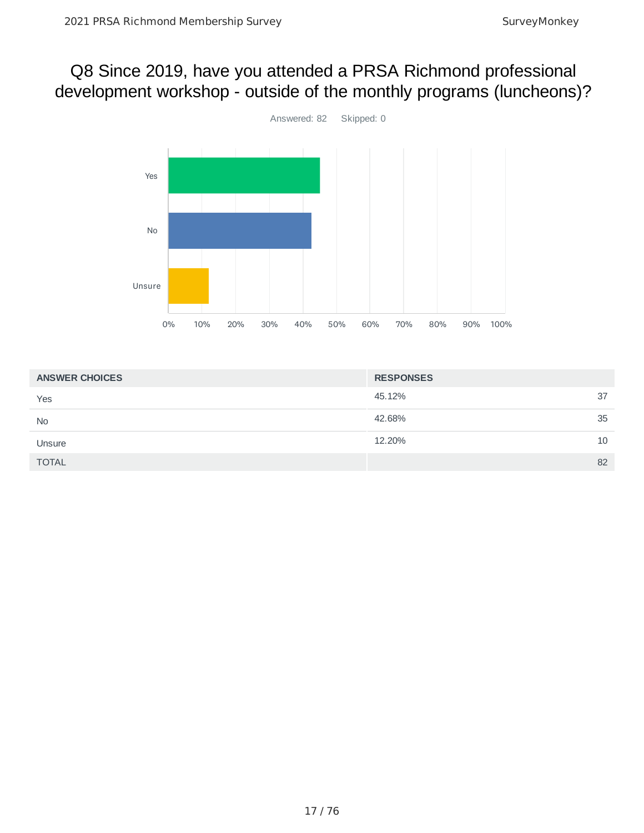## Q8 Since 2019, have you attended a PRSA Richmond professional development workshop - outside of the monthly programs (luncheons)?



| <b>ANSWER CHOICES</b> | <b>RESPONSES</b> |    |
|-----------------------|------------------|----|
| Yes                   | 45.12%           | 37 |
| <b>No</b>             | 42.68%           | 35 |
| Unsure                | 12.20%           | 10 |
| <b>TOTAL</b>          |                  | 82 |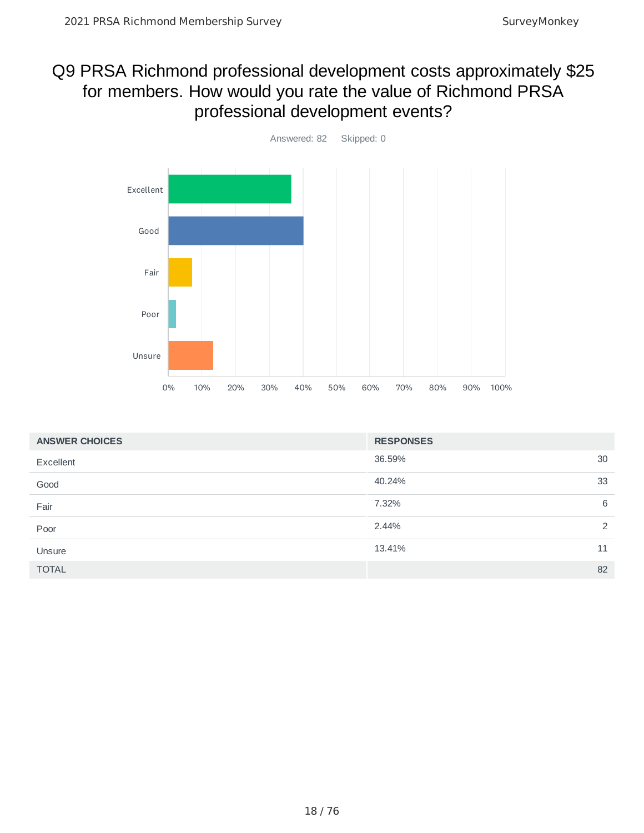## Q9 PRSA Richmond professional development costs approximately \$25 for members. How would you rate the value of Richmond PRSA professional development events?



| <b>ANSWER CHOICES</b> | <b>RESPONSES</b>       |
|-----------------------|------------------------|
| Excellent             | 36.59%<br>30           |
| Good                  | 40.24%<br>33           |
| Fair                  | 6<br>7.32%             |
| Poor                  | $\mathcal{P}$<br>2.44% |
| Unsure                | 13.41%<br>11           |
| <b>TOTAL</b>          | 82                     |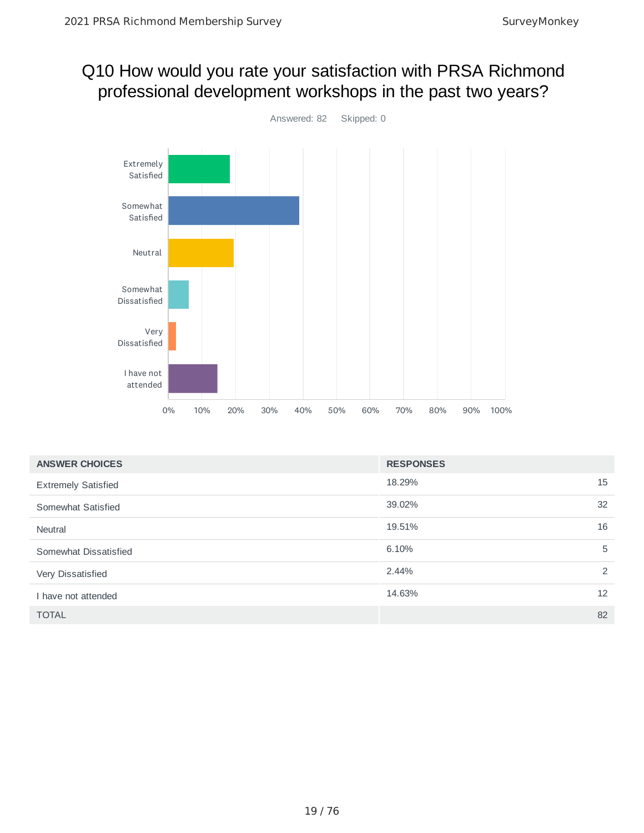# Q10 How would you rate your satisfaction with PRSA Richmond professional development workshops in the past two years?



| <b>ANSWER CHOICES</b>      | <b>RESPONSES</b> |    |
|----------------------------|------------------|----|
| <b>Extremely Satisfied</b> | 18.29%           | 15 |
| Somewhat Satisfied         | 39.02%           | 32 |
| Neutral                    | 19.51%           | 16 |
| Somewhat Dissatisfied      | 6.10%            | 5  |
| Very Dissatisfied          | 2.44%            | 2  |
| I have not attended        | 14.63%           | 12 |
| <b>TOTAL</b>               |                  | 82 |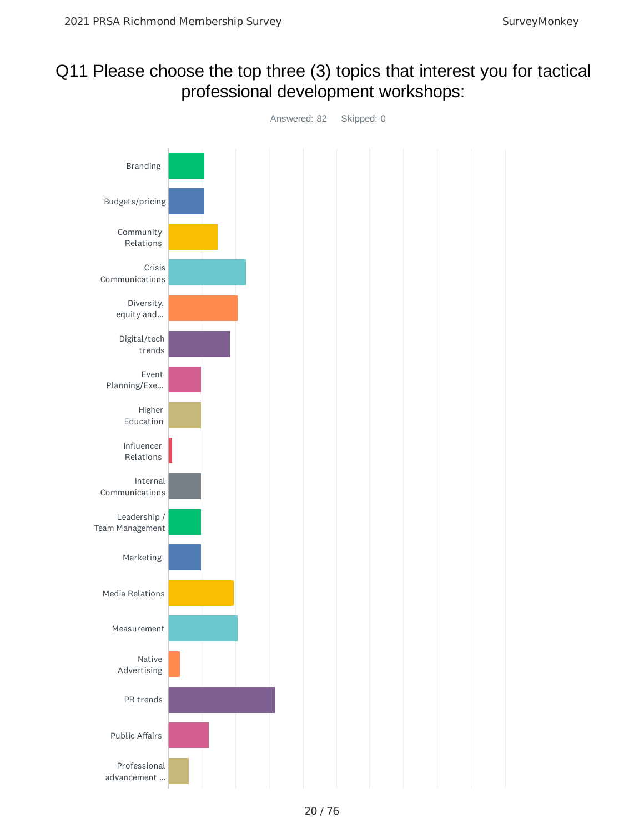## Q11 Please choose the top three (3) topics that interest you for tactical professional development workshops:

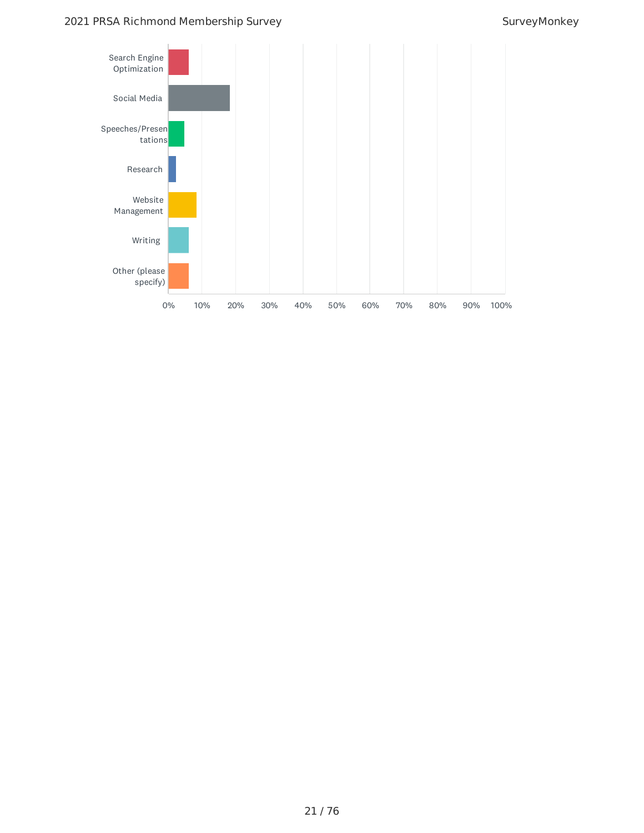#### 2021 PRSA Richmond Membership Survey Survey Survey Survey Monkey

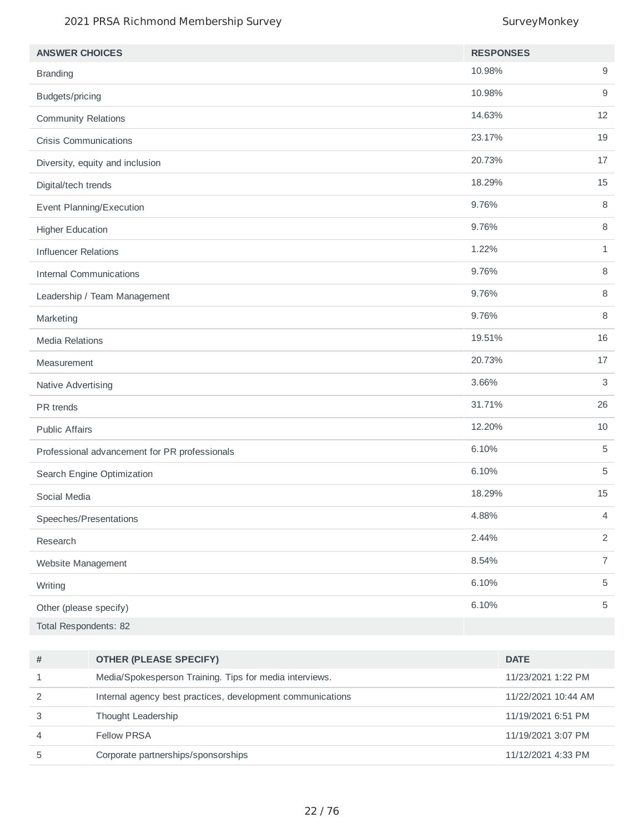#### 2021 PRSA Richmond Membership Survey Survey Survey Monkey

| <b>ANSWER CHOICES</b>                         | <b>RESPONSES</b> |                |
|-----------------------------------------------|------------------|----------------|
| <b>Branding</b>                               | 10.98%           | $9\,$          |
| Budgets/pricing                               | 10.98%           | 9              |
| <b>Community Relations</b>                    | 14.63%           | 12             |
| <b>Crisis Communications</b>                  | 23.17%           | 19             |
| Diversity, equity and inclusion               | 20.73%           | 17             |
| Digital/tech trends                           | 18.29%           | 15             |
| Event Planning/Execution                      | 9.76%            | 8              |
| <b>Higher Education</b>                       | 9.76%            | 8              |
| <b>Influencer Relations</b>                   | 1.22%            | $\mathbf{1}$   |
| <b>Internal Communications</b>                | 9.76%            | 8              |
| Leadership / Team Management                  | 9.76%            | 8              |
| Marketing                                     | 9.76%            | $\, 8$         |
| <b>Media Relations</b>                        | 19.51%           | 16             |
| Measurement                                   | 20.73%           | $17\,$         |
| Native Advertising                            | 3.66%            | 3              |
| PR trends                                     | 31.71%           | 26             |
| <b>Public Affairs</b>                         | 12.20%           | 10             |
| Professional advancement for PR professionals | 6.10%            | 5              |
| Search Engine Optimization                    | 6.10%            | 5              |
| Social Media                                  | 18.29%           | 15             |
| Speeches/Presentations                        | 4.88%            | 4              |
| Research                                      | 2.44%            | $\overline{2}$ |
| Website Management                            | 8.54%            | $\overline{7}$ |
| Writing                                       | 6.10%            | $\mathbf 5$    |
| Other (please specify)                        | 6.10%            | $\mathbf 5$    |
| Total Respondents: 82                         |                  |                |

| # | <b>OTHER (PLEASE SPECIFY)</b>                              | <b>DATE</b>         |
|---|------------------------------------------------------------|---------------------|
|   | Media/Spokesperson Training. Tips for media interviews.    | 11/23/2021 1:22 PM  |
|   | Internal agency best practices, development communications | 11/22/2021 10:44 AM |
|   | Thought Leadership                                         | 11/19/2021 6:51 PM  |
| 4 | Fellow PRSA                                                | 11/19/2021 3:07 PM  |
| ь | Corporate partnerships/sponsorships                        | 11/12/2021 4:33 PM  |
|   |                                                            |                     |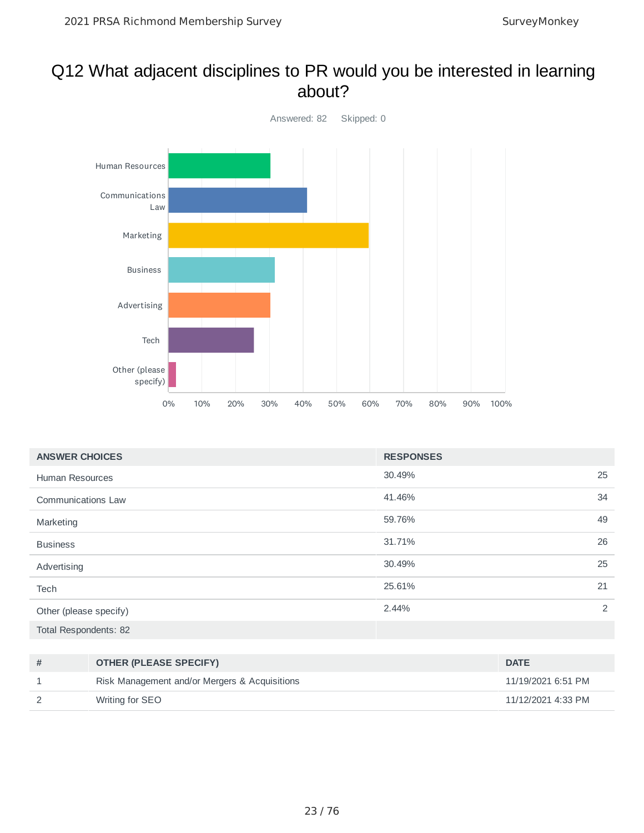#### Q12 What adjacent disciplines to PR would you be interested in learning about?



| <b>ANSWER CHOICES</b>     | <b>RESPONSES</b> |    |
|---------------------------|------------------|----|
| <b>Human Resources</b>    | 30.49%           | 25 |
| <b>Communications Law</b> | 41.46%           | 34 |
| Marketing                 | 59.76%           | 49 |
| <b>Business</b>           | 31.71%           | 26 |
| Advertising               | 30.49%           | 25 |
| Tech                      | 25.61%           | 21 |
| Other (please specify)    | 2.44%            | 2  |
| Total Respondents: 82     |                  |    |

| # | <b>OTHER (PLEASE SPECIFY)</b>                 | <b>DATE</b>        |
|---|-----------------------------------------------|--------------------|
|   | Risk Management and/or Mergers & Acquisitions | 11/19/2021 6:51 PM |
|   | Writing for SEO                               | 11/12/2021 4:33 PM |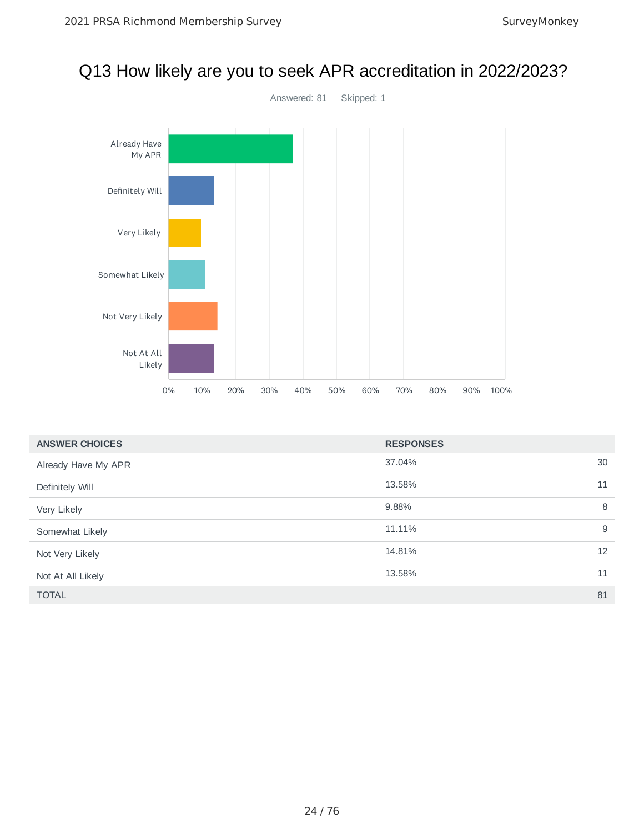

#### 37.04% 30 13.58% 11 9.88% 8 11.11% 9 14.81% 12 13.58% 11 TOTAL 81 **ANSWER CHOICES RESPONSES** Already Have My APR Definitely Will Very Likely Somewhat Likely Not Very Likely Not At All Likely

# Q13 How likely are you to seek APR accreditation in 2022/2023?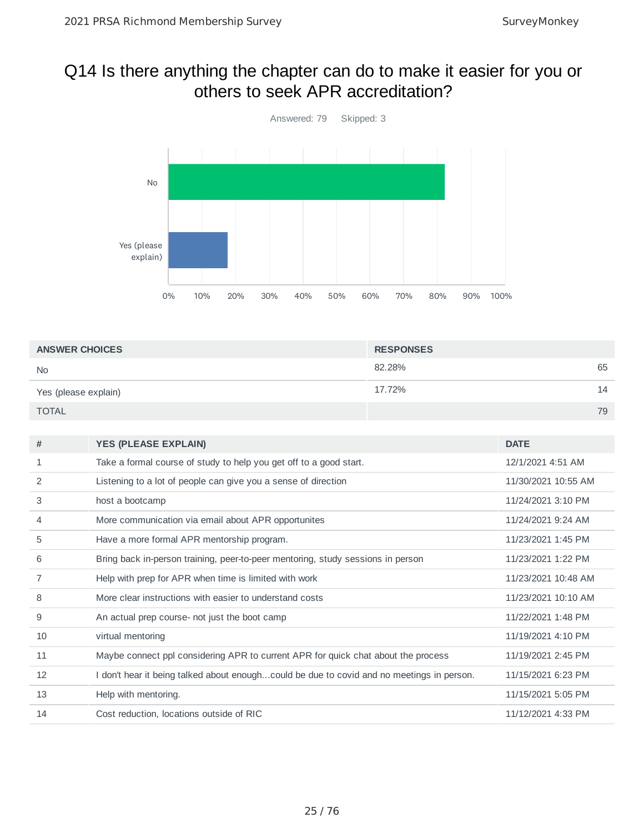### Q14 Is there anything the chapter can do to make it easier for you or others to seek APR accreditation?



| <b>ANSWER CHOICES</b> | <b>RESPONSES</b> |    |
|-----------------------|------------------|----|
| <b>No</b>             | 82.28%           | 65 |
| Yes (please explain)  | 17.72%           | 14 |
| <b>TOTAL</b>          |                  | 79 |

| #  | <b>YES (PLEASE EXPLAIN)</b>                                                               | <b>DATE</b>         |
|----|-------------------------------------------------------------------------------------------|---------------------|
| 1  | Take a formal course of study to help you get off to a good start.                        | 12/1/2021 4:51 AM   |
| 2  | Listening to a lot of people can give you a sense of direction                            | 11/30/2021 10:55 AM |
| 3  | host a bootcamp                                                                           | 11/24/2021 3:10 PM  |
| 4  | More communication via email about APR opportunites                                       | 11/24/2021 9:24 AM  |
| 5  | Have a more formal APR mentorship program.                                                | 11/23/2021 1:45 PM  |
| 6  | Bring back in-person training, peer-to-peer mentoring, study sessions in person           | 11/23/2021 1:22 PM  |
| 7  | Help with prep for APR when time is limited with work                                     | 11/23/2021 10:48 AM |
| 8  | More clear instructions with easier to understand costs                                   | 11/23/2021 10:10 AM |
| 9  | An actual prep course- not just the boot camp                                             | 11/22/2021 1:48 PM  |
| 10 | virtual mentoring                                                                         | 11/19/2021 4:10 PM  |
| 11 | Maybe connect ppl considering APR to current APR for quick chat about the process         | 11/19/2021 2:45 PM  |
| 12 | I don't hear it being talked about enoughcould be due to covid and no meetings in person. | 11/15/2021 6:23 PM  |
| 13 | Help with mentoring.                                                                      | 11/15/2021 5:05 PM  |
| 14 | Cost reduction, locations outside of RIC                                                  | 11/12/2021 4:33 PM  |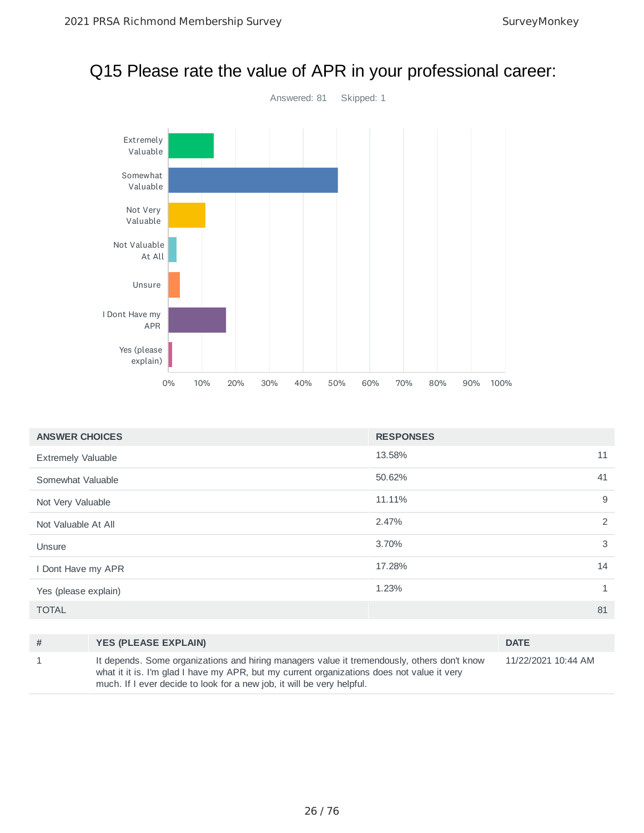### Q15 Please rate the value of APR in your professional career:



| <b>ANSWER CHOICES</b>     | <b>RESPONSES</b> |              |
|---------------------------|------------------|--------------|
| <b>Extremely Valuable</b> | 13.58%           | 11           |
| Somewhat Valuable         | 50.62%           | 41           |
| Not Very Valuable         | 11.11%           | 9            |
| Not Valuable At All       | 2.47%            | 2            |
| Unsure                    | 3.70%            | 3            |
| I Dont Have my APR        | 17.28%           | 14           |
| Yes (please explain)      | 1.23%            | $\mathbf{1}$ |
| <b>TOTAL</b>              |                  | 81           |
|                           |                  |              |

| # | <b>YES (PLEASE EXPLAIN)</b>                                                                                                                                                                                                                                         | <b>DATE</b>         |
|---|---------------------------------------------------------------------------------------------------------------------------------------------------------------------------------------------------------------------------------------------------------------------|---------------------|
|   | It depends. Some organizations and hiring managers value it tremendously, others don't know<br>what it it is. I'm glad I have my APR, but my current organizations does not value it very<br>much. If I ever decide to look for a new job, it will be very helpful. | 11/22/2021 10:44 AM |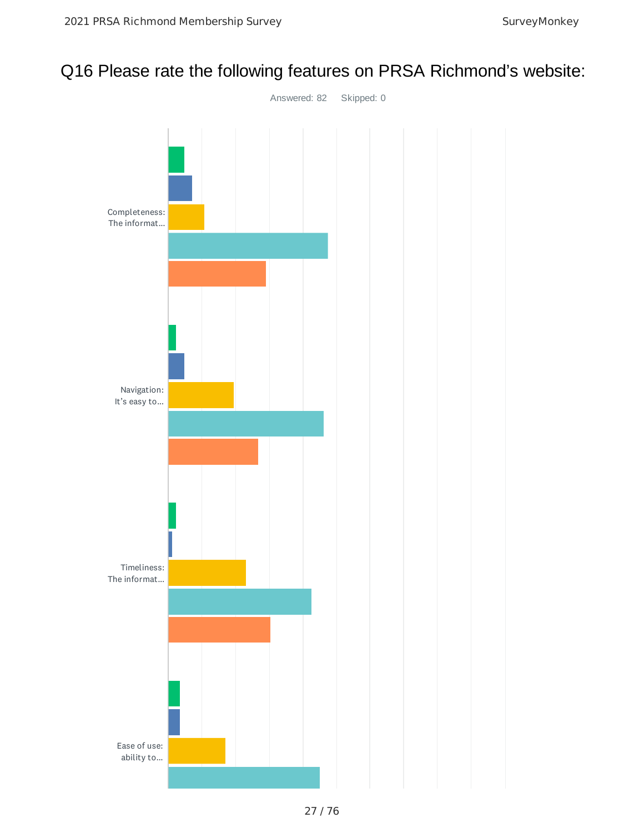## Q16 Please rate the following features on PRSA Richmond's website:

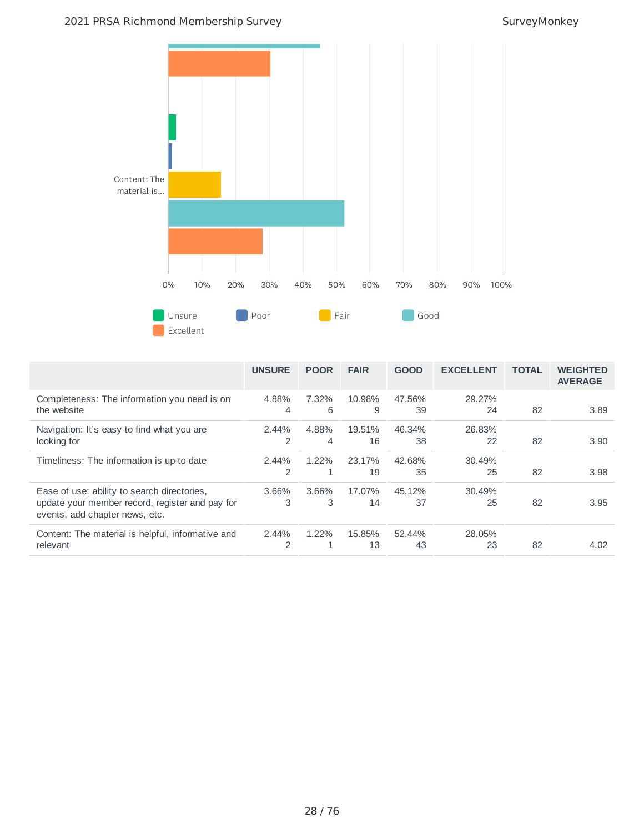

|                                                                                                                                  | <b>UNSURE</b>          | <b>POOR</b> | <b>FAIR</b>  | <b>GOOD</b>  | <b>EXCELLENT</b> | <b>TOTAL</b> | <b>WEIGHTED</b><br><b>AVERAGE</b> |
|----------------------------------------------------------------------------------------------------------------------------------|------------------------|-------------|--------------|--------------|------------------|--------------|-----------------------------------|
| Completeness: The information you need is on<br>the website                                                                      | 4.88%<br>4             | 7.32%<br>6  | 10.98%<br>9  | 47.56%<br>39 | 29.27%<br>24     | 82           | 3.89                              |
| Navigation: It's easy to find what you are<br>looking for                                                                        | $2.44\%$<br>2          | 4.88%<br>4  | 19.51%<br>16 | 46.34%<br>38 | 26.83%<br>22     | 82           | 3.90                              |
| Timeliness: The information is up-to-date                                                                                        | $2.44\%$<br>2          | $1.22\%$    | 23.17%<br>19 | 42.68%<br>35 | 30.49%<br>25     | 82           | 3.98                              |
| Ease of use: ability to search directories,<br>update your member record, register and pay for<br>events, add chapter news, etc. | 3.66%<br>3             | 3.66%<br>3  | 17.07%<br>14 | 45.12%<br>37 | 30.49%<br>25     | 82           | 3.95                              |
| Content: The material is helpful, informative and<br>relevant                                                                    | 2.44%<br>$\mathcal{P}$ | 1.22%       | 15.85%<br>13 | 52.44%<br>43 | 28.05%<br>23     | 82           | 4.02                              |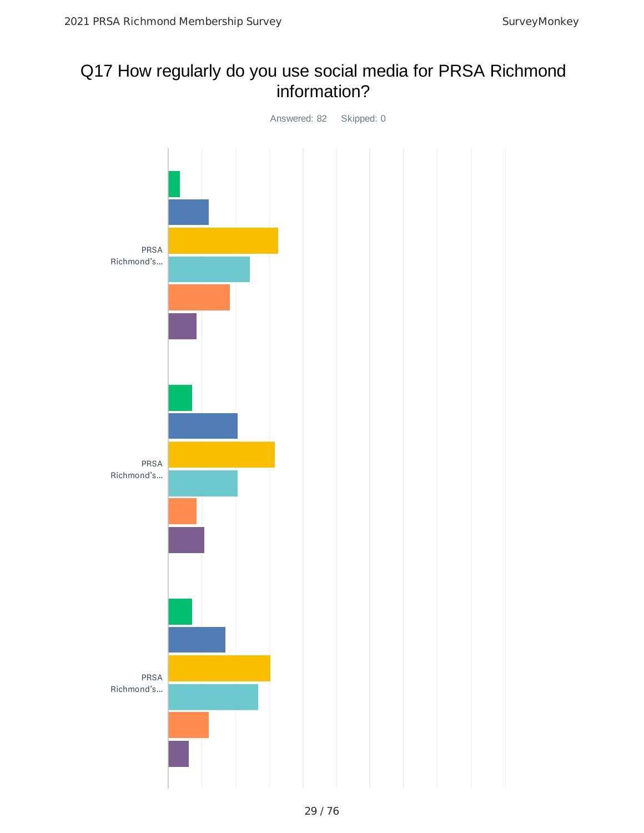### Q17 How regularly do you use social media for PRSA Richmond information?

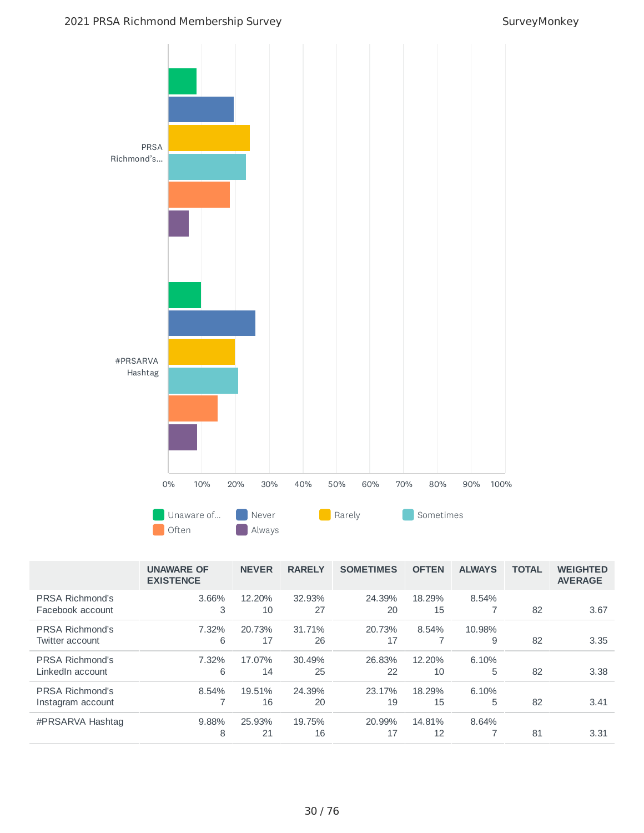

|                                             | <b>UNAWARE OF</b><br><b>EXISTENCE</b> | <b>NEVER</b> | <b>RARELY</b> | <b>SOMETIMES</b> | <b>OFTEN</b> | <b>ALWAYS</b> | <b>TOTAL</b> | <b>WEIGHTED</b><br><b>AVERAGE</b> |
|---------------------------------------------|---------------------------------------|--------------|---------------|------------------|--------------|---------------|--------------|-----------------------------------|
| <b>PRSA Richmond's</b><br>Facebook account  | 3.66%<br>3                            | 12.20%<br>10 | 32.93%<br>27  | 24.39%<br>20     | 18.29%<br>15 | 8.54%         | 82           | 3.67                              |
| PRSA Richmond's<br>Twitter account          | 7.32%<br>6                            | 20.73%<br>17 | 31.71%<br>26  | 20.73%<br>17     | 8.54%        | 10.98%<br>9   | 82           | 3.35                              |
| <b>PRSA Richmond's</b><br>LinkedIn account  | 7.32%<br>6                            | 17.07%<br>14 | 30.49%<br>25  | 26.83%<br>22     | 12.20%<br>10 | 6.10%<br>5    | 82           | 3.38                              |
| <b>PRSA Richmond's</b><br>Instagram account | 8.54%<br>⇁                            | 19.51%<br>16 | 24.39%<br>20  | 23.17%<br>19     | 18.29%<br>15 | 6.10%<br>5    | 82           | 3.41                              |
| #PRSARVA Hashtag                            | 9.88%<br>8                            | 25.93%<br>21 | 19.75%<br>16  | 20.99%<br>17     | 14.81%<br>12 | 8.64%         | 81           | 3.31                              |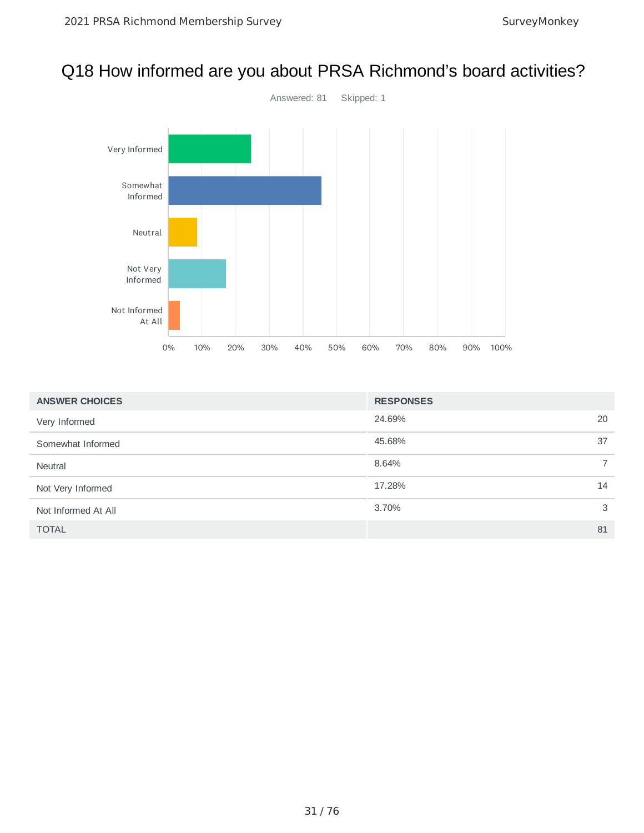## Q18 How informed are you about PRSA Richmond's board activities?



| <b>ANSWER CHOICES</b> | <b>RESPONSES</b> |                |
|-----------------------|------------------|----------------|
| Very Informed         | 24.69%           | 20             |
| Somewhat Informed     | 45.68%           | 37             |
| Neutral               | 8.64%            | $\overline{7}$ |
| Not Very Informed     | 17.28%           | 14             |
| Not Informed At All   | 3.70%            | 3              |
| <b>TOTAL</b>          |                  | 81             |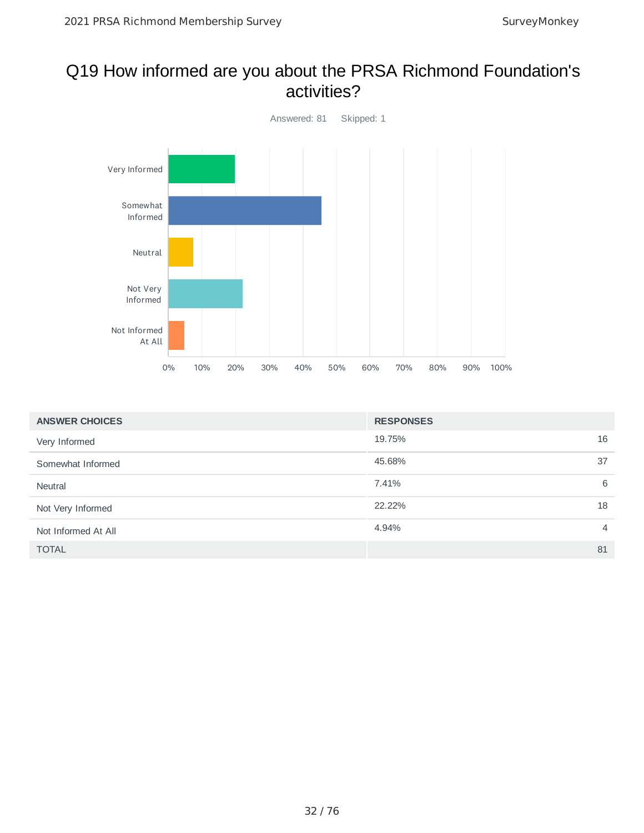### Q19 How informed are you about the PRSA Richmond Foundation's activities?



| <b>ANSWER CHOICES</b> | <b>RESPONSES</b>        |
|-----------------------|-------------------------|
| Very Informed         | 16<br>19.75%            |
| Somewhat Informed     | 45.68%<br>37            |
| Neutral               | 6<br>7.41%              |
| Not Very Informed     | 22.22%<br>18            |
| Not Informed At All   | 4.94%<br>$\overline{4}$ |
| <b>TOTAL</b>          | 81                      |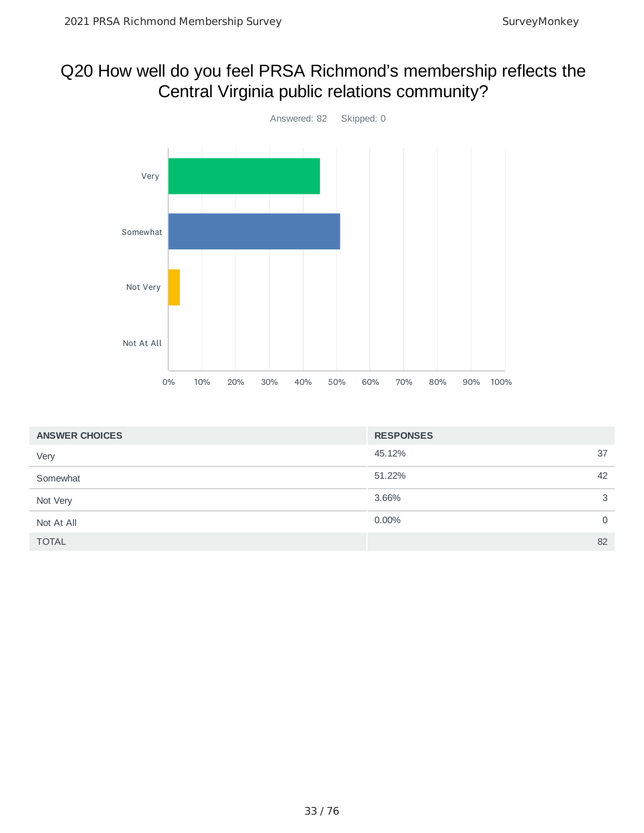## Q20 How well do you feel PRSA Richmond's membership reflects the Central Virginia public relations community?



| <b>ANSWER CHOICES</b> | <b>RESPONSES</b> |    |
|-----------------------|------------------|----|
| Very                  | 45.12%           | 37 |
| Somewhat              | 51.22%           | 42 |
| Not Very              | 3.66%            | 3  |
| Not At All            | 0.00%            | 0  |
| <b>TOTAL</b>          |                  | 82 |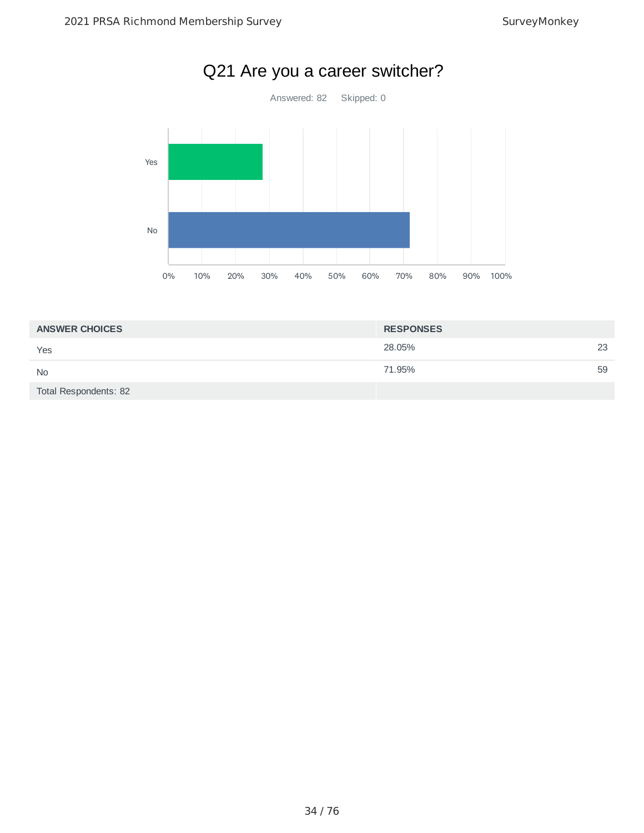

|  |  |  | Q21 Are you a career switcher? |
|--|--|--|--------------------------------|
|--|--|--|--------------------------------|

| <b>ANSWER CHOICES</b> | <b>RESPONSES</b> |    |
|-----------------------|------------------|----|
| Yes                   | 28.05%           | 23 |
| <b>No</b>             | 71.95%           | 59 |
| Total Respondents: 82 |                  |    |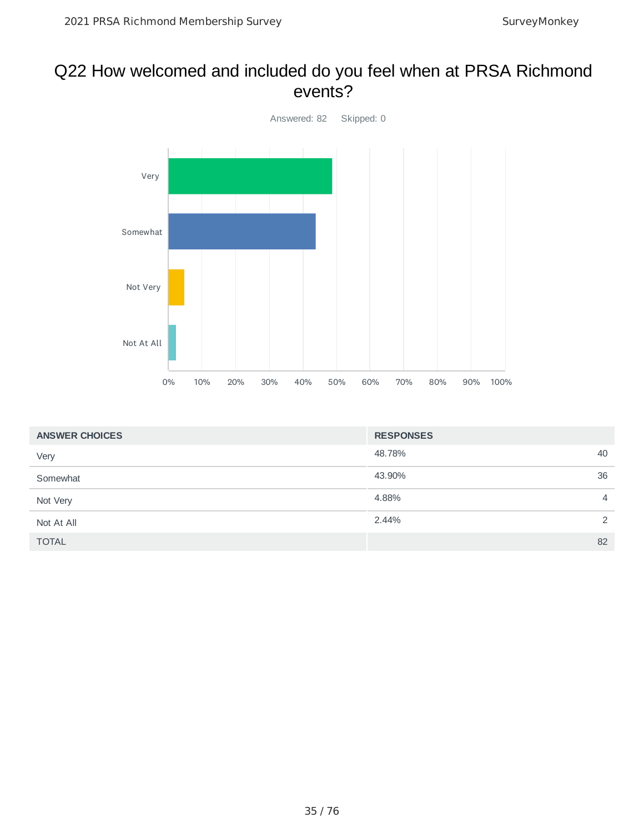#### Q22 How welcomed and included do you feel when at PRSA Richmond events?



| <b>ANSWER CHOICES</b> | <b>RESPONSES</b> |                |
|-----------------------|------------------|----------------|
| Very                  | 48.78%           | 40             |
| Somewhat              | 43.90%           | 36             |
| Not Very              | 4.88%            | $\overline{4}$ |
| Not At All            | 2.44%            | 2              |
| <b>TOTAL</b>          |                  | 82             |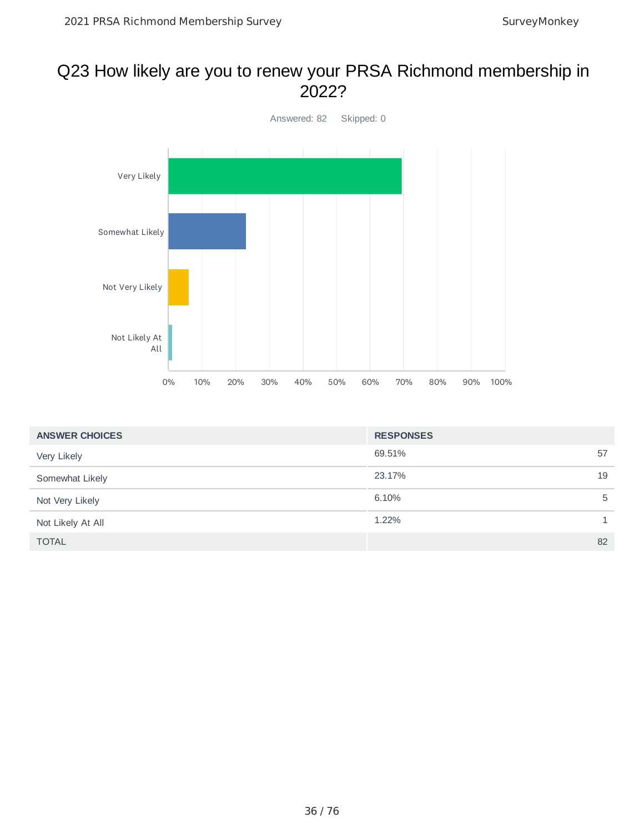#### Q23 How likely are you to renew your PRSA Richmond membership in 2022?



| <b>ANSWER CHOICES</b> | <b>RESPONSES</b> |    |
|-----------------------|------------------|----|
| Very Likely           | 69.51%           | 57 |
| Somewhat Likely       | 23.17%           | 19 |
| Not Very Likely       | 6.10%            | 5  |
| Not Likely At All     | 1.22%            | 1  |
| <b>TOTAL</b>          |                  | 82 |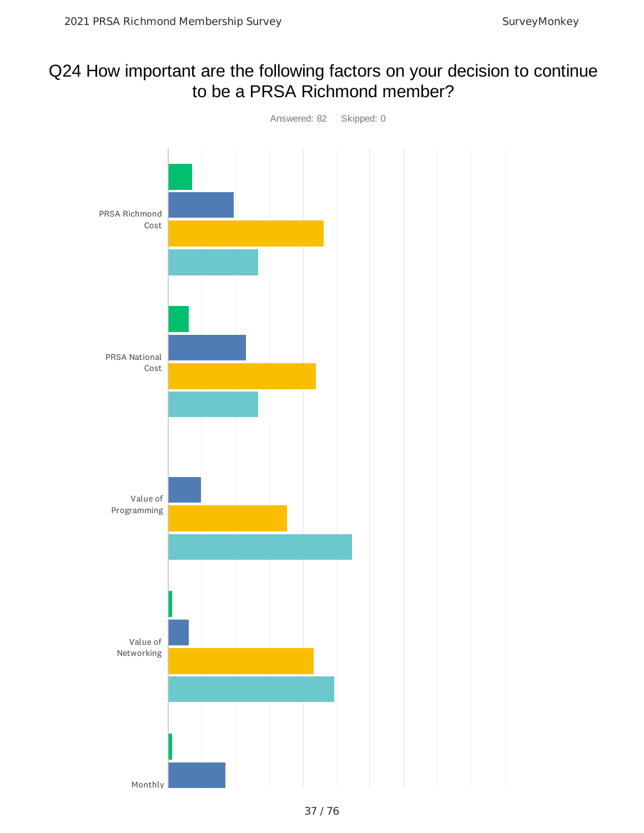## Q24 How important are the following factors on your decision to continue to be a PRSA Richmond member?

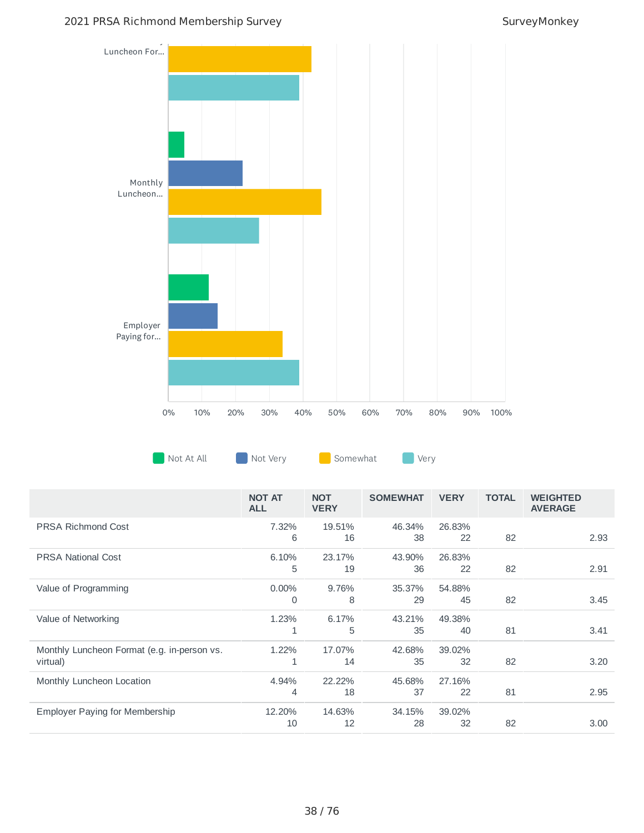#### 2021 PRSA Richmond Membership Survey Survey Survey Monkey



|                                                         | <b>NOT AT</b><br><b>ALL</b> | <b>NOT</b><br><b>VERY</b> | <b>SOMEWHAT</b> | <b>VERY</b>  | <b>TOTAL</b> | <b>WEIGHTED</b><br><b>AVERAGE</b> |
|---------------------------------------------------------|-----------------------------|---------------------------|-----------------|--------------|--------------|-----------------------------------|
| <b>PRSA Richmond Cost</b>                               | 7.32%<br>6                  | 19.51%<br>16              | 46.34%<br>38    | 26.83%<br>22 | 82           | 2.93                              |
| <b>PRSA National Cost</b>                               | 6.10%<br>5                  | 23.17%<br>19              | 43.90%<br>36    | 26.83%<br>22 | 82           | 2.91                              |
| Value of Programming                                    | $0.00\%$<br>$\Omega$        | 9.76%<br>8                | 35.37%<br>29    | 54.88%<br>45 | 82           | 3.45                              |
| Value of Networking                                     | 1.23%<br>$\mathbf{1}$       | 6.17%<br>5                | 43.21%<br>35    | 49.38%<br>40 | 81           | 3.41                              |
| Monthly Luncheon Format (e.g. in-person vs.<br>virtual) | 1.22%                       | 17.07%<br>14              | 42.68%<br>35    | 39.02%<br>32 | 82           | 3.20                              |
| Monthly Luncheon Location                               | 4.94%<br>4                  | 22.22%<br>18              | 45.68%<br>37    | 27.16%<br>22 | 81           | 2.95                              |
| Employer Paying for Membership                          | 12.20%<br>10                | 14.63%<br>12              | 34.15%<br>28    | 39.02%<br>32 | 82           | 3.00                              |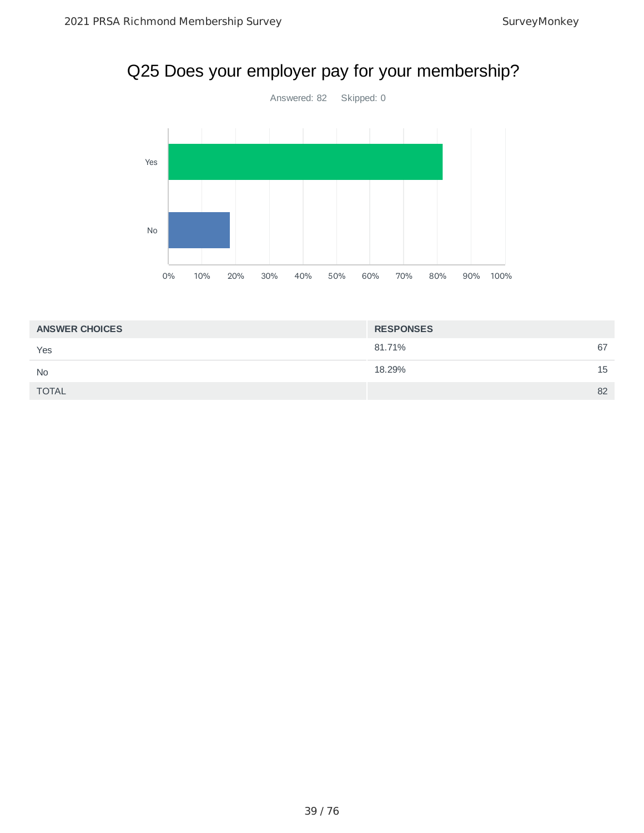# Q25 Does your employer pay for your membership?



| <b>ANSWER CHOICES</b> | <b>RESPONSES</b> |    |
|-----------------------|------------------|----|
| Yes                   | 81.71%           | 67 |
| <b>No</b>             | 18.29%           | 15 |
| <b>TOTAL</b>          |                  | 82 |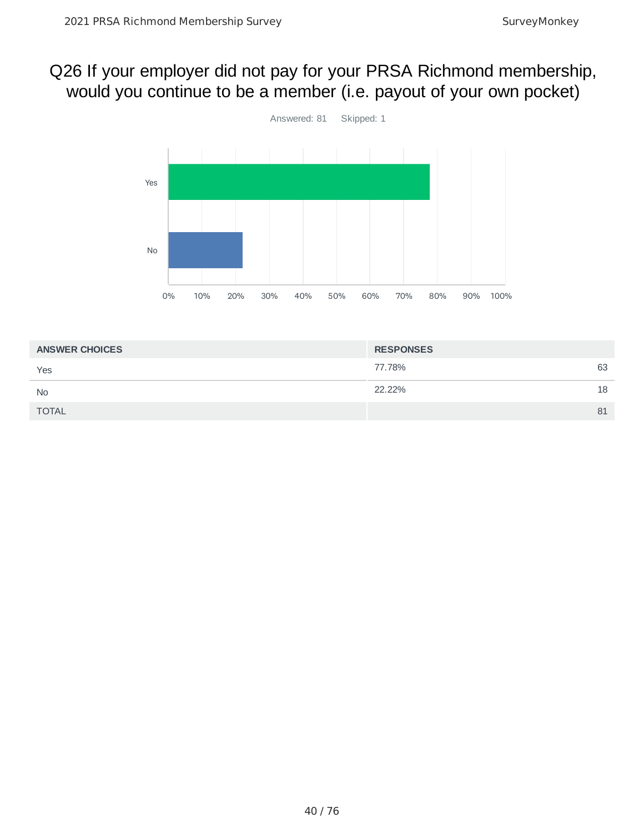## Q26 If your employer did not pay for your PRSA Richmond membership, would you continue to be a member (i.e. payout of your own pocket)



| <b>ANSWER CHOICES</b> | <b>RESPONSES</b> |    |
|-----------------------|------------------|----|
| Yes                   | 77.78%           | 63 |
| <b>No</b>             | 22.22%           | 18 |
| <b>TOTAL</b>          |                  | 81 |
|                       |                  |    |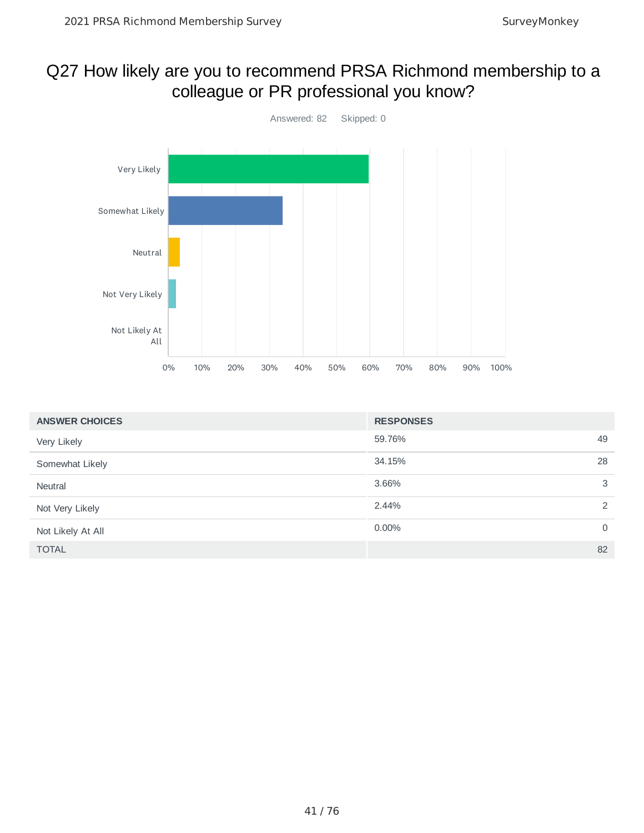### Q27 How likely are you to recommend PRSA Richmond membership to a colleague or PR professional you know?



| <b>ANSWER CHOICES</b> | <b>RESPONSES</b> |             |
|-----------------------|------------------|-------------|
| Very Likely           | 59.76%           | 49          |
| Somewhat Likely       | 34.15%           | 28          |
| Neutral               | 3.66%            | 3           |
| Not Very Likely       | 2.44%            | 2           |
| Not Likely At All     | 0.00%            | $\mathbf 0$ |
| <b>TOTAL</b>          |                  | 82          |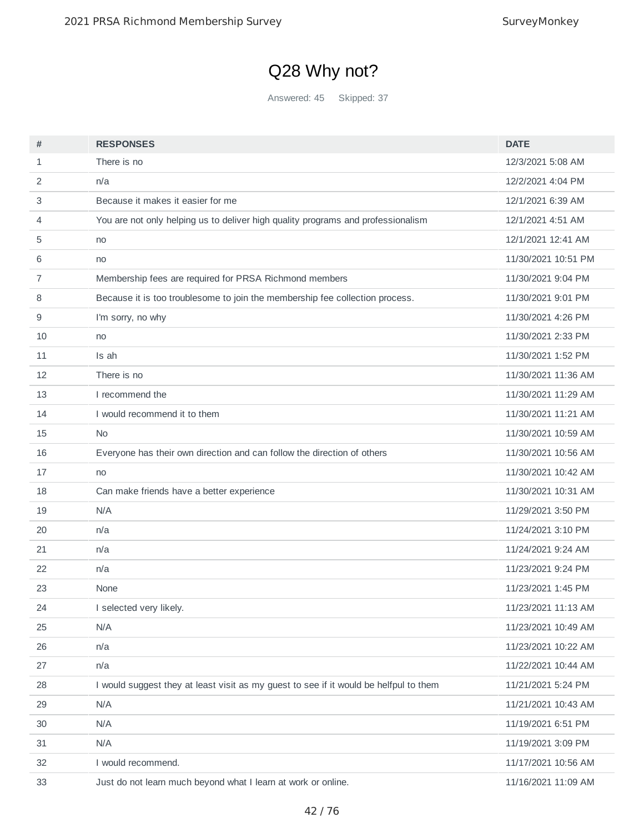# Q28 Why not?

Answered: 45 Skipped: 37

| #  | <b>RESPONSES</b>                                                                      | <b>DATE</b>         |
|----|---------------------------------------------------------------------------------------|---------------------|
| 1  | There is no                                                                           | 12/3/2021 5:08 AM   |
| 2  | n/a                                                                                   | 12/2/2021 4:04 PM   |
| 3  | Because it makes it easier for me                                                     | 12/1/2021 6:39 AM   |
| 4  | You are not only helping us to deliver high quality programs and professionalism      | 12/1/2021 4:51 AM   |
| 5  | no                                                                                    | 12/1/2021 12:41 AM  |
| 6  | no                                                                                    | 11/30/2021 10:51 PM |
| 7  | Membership fees are required for PRSA Richmond members                                | 11/30/2021 9:04 PM  |
| 8  | Because it is too troublesome to join the membership fee collection process.          | 11/30/2021 9:01 PM  |
| 9  | I'm sorry, no why                                                                     | 11/30/2021 4:26 PM  |
| 10 | no                                                                                    | 11/30/2021 2:33 PM  |
| 11 | Is ah                                                                                 | 11/30/2021 1:52 PM  |
| 12 | There is no                                                                           | 11/30/2021 11:36 AM |
| 13 | I recommend the                                                                       | 11/30/2021 11:29 AM |
| 14 | I would recommend it to them                                                          | 11/30/2021 11:21 AM |
| 15 | N <sub>0</sub>                                                                        | 11/30/2021 10:59 AM |
| 16 | Everyone has their own direction and can follow the direction of others               | 11/30/2021 10:56 AM |
| 17 | no                                                                                    | 11/30/2021 10:42 AM |
| 18 | Can make friends have a better experience                                             | 11/30/2021 10:31 AM |
| 19 | N/A                                                                                   | 11/29/2021 3:50 PM  |
| 20 | n/a                                                                                   | 11/24/2021 3:10 PM  |
| 21 | n/a                                                                                   | 11/24/2021 9:24 AM  |
| 22 | n/a                                                                                   | 11/23/2021 9:24 PM  |
| 23 | None                                                                                  | 11/23/2021 1:45 PM  |
| 24 | I selected very likely.                                                               | 11/23/2021 11:13 AM |
| 25 | N/A                                                                                   | 11/23/2021 10:49 AM |
| 26 | n/a                                                                                   | 11/23/2021 10:22 AM |
| 27 | n/a                                                                                   | 11/22/2021 10:44 AM |
| 28 | I would suggest they at least visit as my guest to see if it would be helfpul to them | 11/21/2021 5:24 PM  |
| 29 | N/A                                                                                   | 11/21/2021 10:43 AM |
| 30 | N/A                                                                                   | 11/19/2021 6:51 PM  |
| 31 | N/A                                                                                   | 11/19/2021 3:09 PM  |
| 32 | I would recommend.                                                                    | 11/17/2021 10:56 AM |
| 33 | Just do not learn much beyond what I learn at work or online.                         | 11/16/2021 11:09 AM |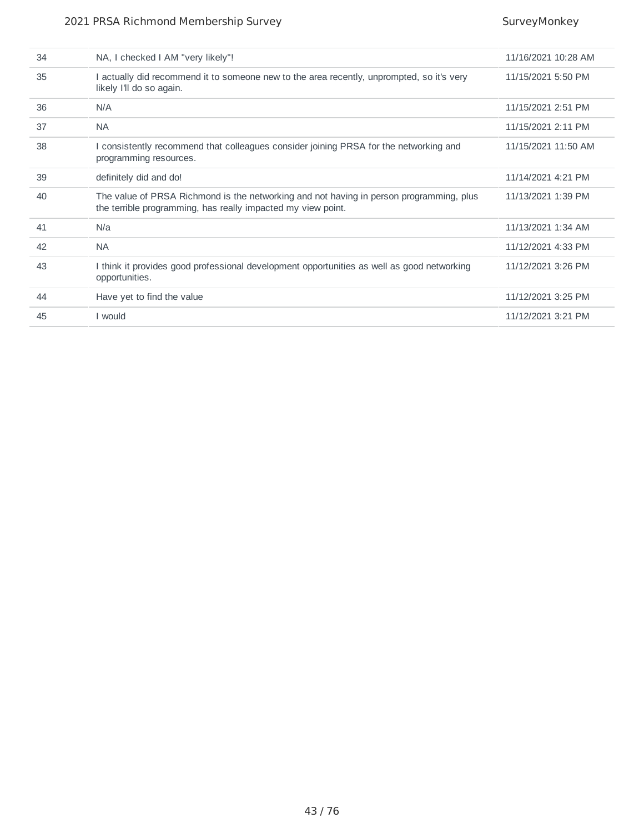| 34 | NA, I checked I AM "very likely"!                                                                                                                       | 11/16/2021 10:28 AM |
|----|---------------------------------------------------------------------------------------------------------------------------------------------------------|---------------------|
| 35 | I actually did recommend it to someone new to the area recently, unprompted, so it's very<br>likely I'll do so again.                                   | 11/15/2021 5:50 PM  |
| 36 | N/A                                                                                                                                                     | 11/15/2021 2:51 PM  |
| 37 | <b>NA</b>                                                                                                                                               | 11/15/2021 2:11 PM  |
| 38 | I consistently recommend that colleagues consider joining PRSA for the networking and<br>programming resources.                                         | 11/15/2021 11:50 AM |
| 39 | definitely did and do!                                                                                                                                  | 11/14/2021 4:21 PM  |
| 40 | The value of PRSA Richmond is the networking and not having in person programming, plus<br>the terrible programming, has really impacted my view point. | 11/13/2021 1:39 PM  |
| 41 | N/a                                                                                                                                                     | 11/13/2021 1:34 AM  |
| 42 | <b>NA</b>                                                                                                                                               | 11/12/2021 4:33 PM  |
| 43 | I think it provides good professional development opportunities as well as good networking<br>opportunities.                                            | 11/12/2021 3:26 PM  |
| 44 | Have yet to find the value                                                                                                                              | 11/12/2021 3:25 PM  |
| 45 | I would                                                                                                                                                 | 11/12/2021 3:21 PM  |
|    |                                                                                                                                                         |                     |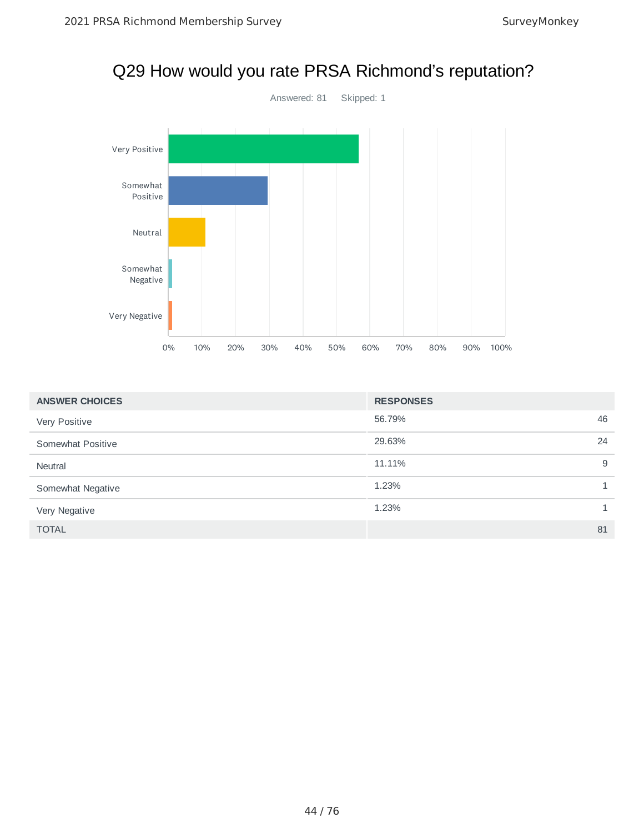

| <b>ANSWER CHOICES</b> | <b>RESPONSES</b> |    |
|-----------------------|------------------|----|
| Very Positive         | 56.79%           | 46 |
| Somewhat Positive     | 29.63%           | 24 |
| Neutral               | 11.11%           | 9  |
| Somewhat Negative     | 1.23%            | 1  |
| Very Negative         | 1.23%            | 1  |
| <b>TOTAL</b>          |                  | 81 |

# Q29 How would you rate PRSA Richmond's reputation?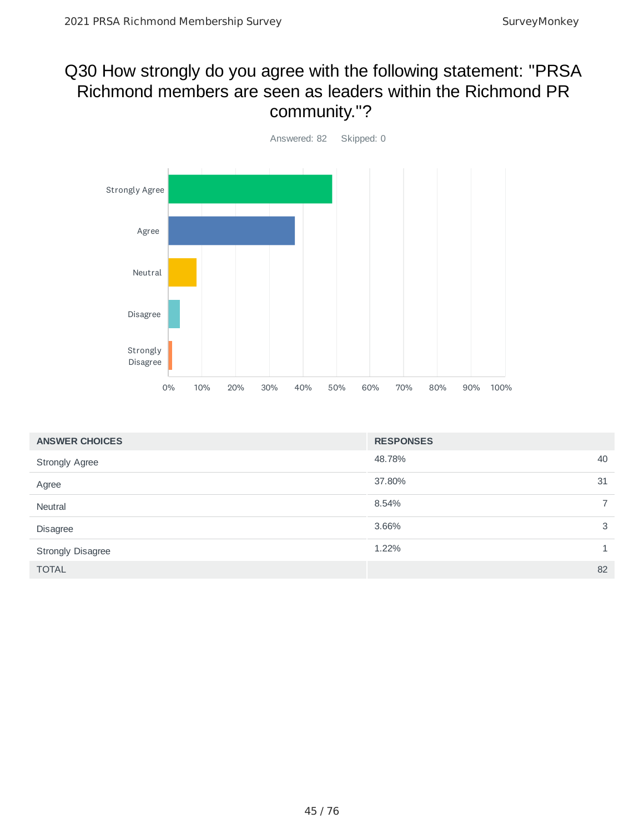## Q30 How strongly do you agree with the following statement: "PRSA Richmond members are seen as leaders within the Richmond PR community."?



| <b>ANSWER CHOICES</b>    | <b>RESPONSES</b>        |
|--------------------------|-------------------------|
| <b>Strongly Agree</b>    | 48.78%<br>40            |
| Agree                    | 37.80%<br>31            |
| Neutral                  | $\overline{7}$<br>8.54% |
| Disagree                 | 3.66%<br>3              |
| <b>Strongly Disagree</b> | 1.22%                   |
| <b>TOTAL</b>             | 82                      |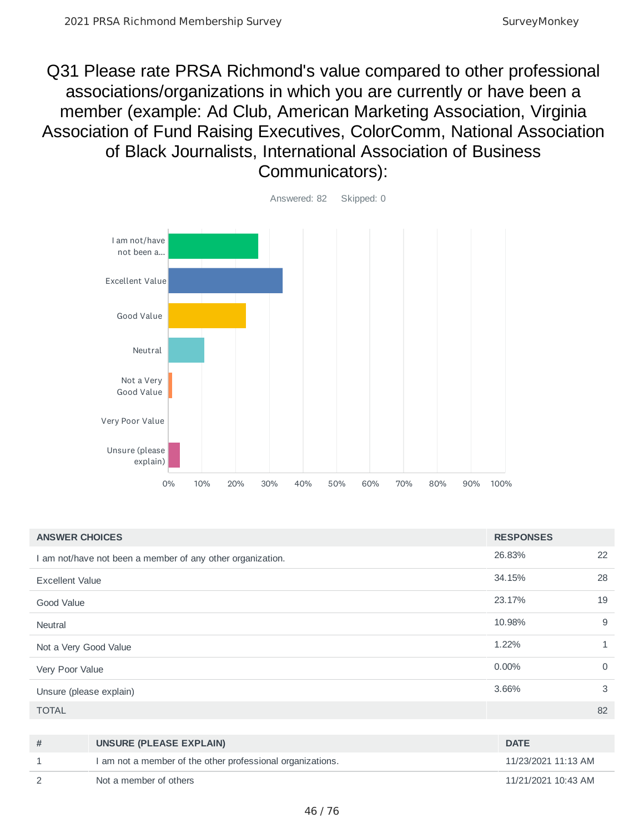Q31 Please rate PRSA Richmond's value compared to other professional associations/organizations in which you are currently or have been a member (example: Ad Club, American Marketing Association, Virginia Association of Fund Raising Executives, ColorComm, National Association of Black Journalists, International Association of Business Communicators):



| <b>ANSWER CHOICES</b>   |                                                            | <b>RESPONSES</b> |                |
|-------------------------|------------------------------------------------------------|------------------|----------------|
|                         | I am not/have not been a member of any other organization. | 26.83%           | 22             |
| <b>Excellent Value</b>  |                                                            | 34.15%           | 28             |
| Good Value              |                                                            | 23.17%           | 19             |
| <b>Neutral</b>          |                                                            | 10.98%           | 9              |
| Not a Very Good Value   |                                                            | 1.22%            | 1              |
| Very Poor Value         |                                                            | 0.00%            | $\overline{0}$ |
| Unsure (please explain) |                                                            | 3.66%            | 3              |
| <b>TOTAL</b>            |                                                            |                  | 82             |
|                         |                                                            |                  |                |
| #                       | <b>UNSURE (PLEASE EXPLAIN)</b>                             | <b>DATE</b>      |                |
|                         |                                                            |                  |                |

| $^+$ | UNJUKE (PLEAJE EAPLAIN)                                    | <b>UAIL</b>         |
|------|------------------------------------------------------------|---------------------|
|      | I am not a member of the other professional organizations. | 11/23/2021 11:13 AM |
|      | Not a member of others                                     | 11/21/2021 10:43 AM |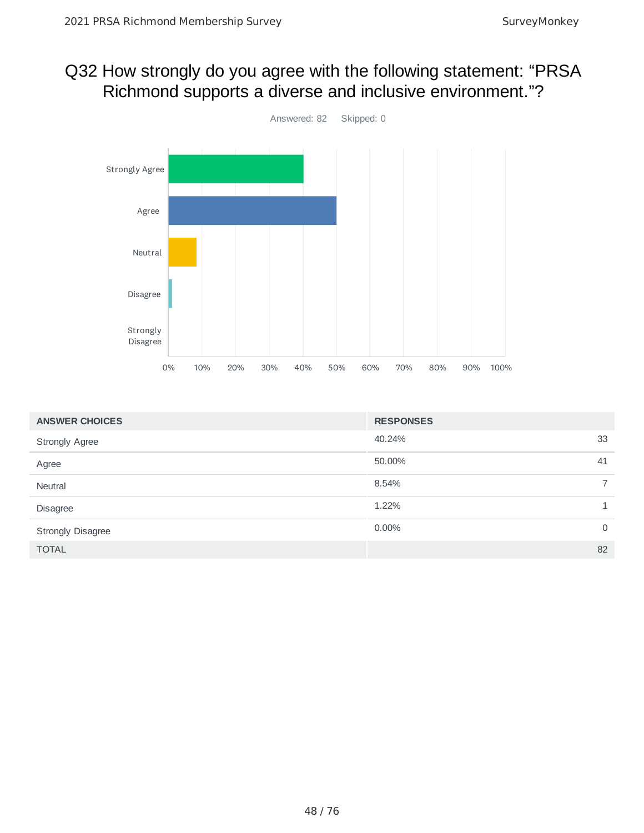## Q32 How strongly do you agree with the following statement: "PRSA Richmond supports a diverse and inclusive environment."?



| <b>ANSWER CHOICES</b>    | <b>RESPONSES</b>     |
|--------------------------|----------------------|
| <b>Strongly Agree</b>    | 40.24%<br>33         |
| Agree                    | 50.00%<br>41         |
| Neutral                  | 8.54%                |
| Disagree                 | 1.22%                |
| <b>Strongly Disagree</b> | 0.00%<br>$\mathbf 0$ |
| <b>TOTAL</b>             | 82                   |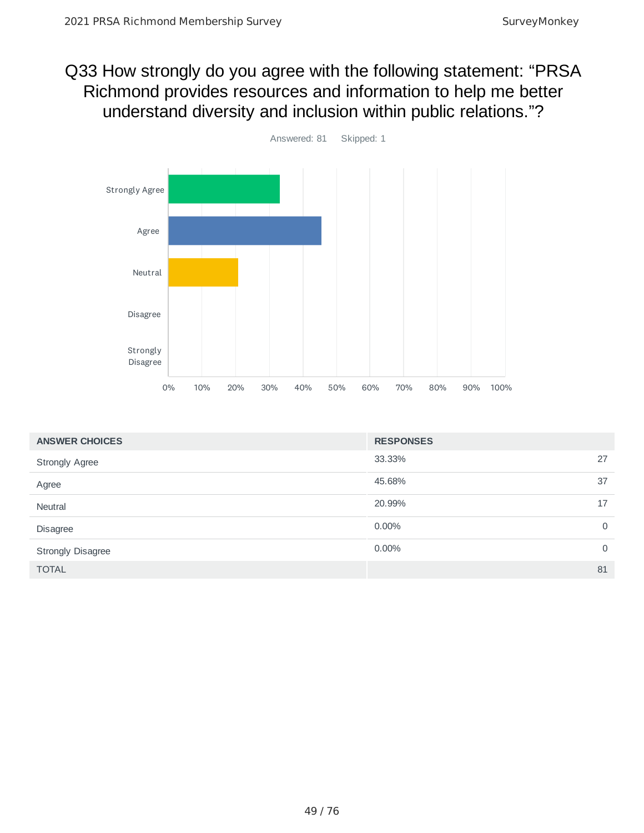### Q33 How strongly do you agree with the following statement: "PRSA Richmond provides resources and information to help me better understand diversity and inclusion within public relations."?



| <b>ANSWER CHOICES</b>    | <b>RESPONSES</b> |             |
|--------------------------|------------------|-------------|
| <b>Strongly Agree</b>    | 33.33%           | 27          |
| Agree                    | 45.68%           | 37          |
| Neutral                  | 20.99%           | 17          |
| Disagree                 | 0.00%            | $\mathbf 0$ |
| <b>Strongly Disagree</b> | 0.00%            | $\mathbf 0$ |
| <b>TOTAL</b>             |                  | 81          |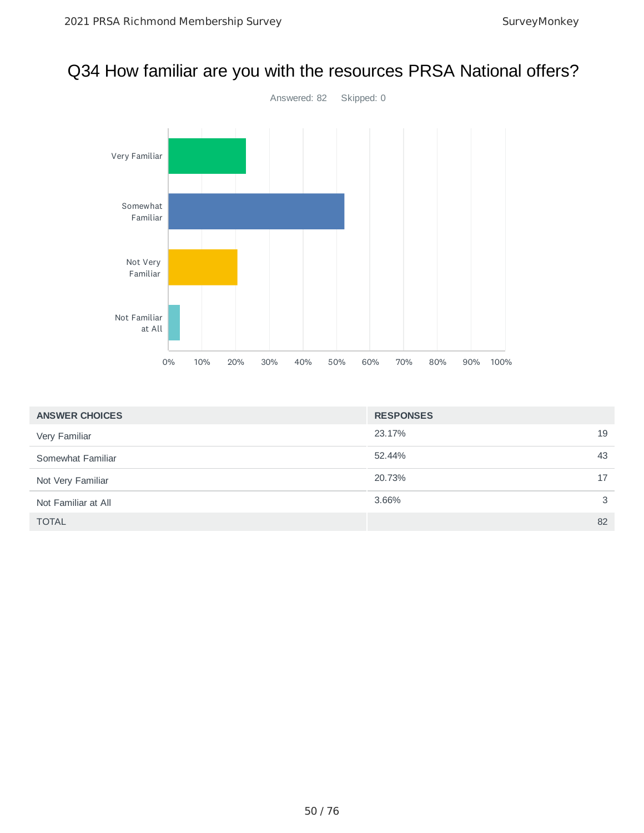## Q34 How familiar are you with the resources PRSA National offers?



| <b>ANSWER CHOICES</b> | <b>RESPONSES</b> |    |
|-----------------------|------------------|----|
| Very Familiar         | 23.17%           | 19 |
| Somewhat Familiar     | 52.44%           | 43 |
| Not Very Familiar     | 20.73%           | 17 |
| Not Familiar at All   | 3.66%            | 3  |
| <b>TOTAL</b>          |                  | 82 |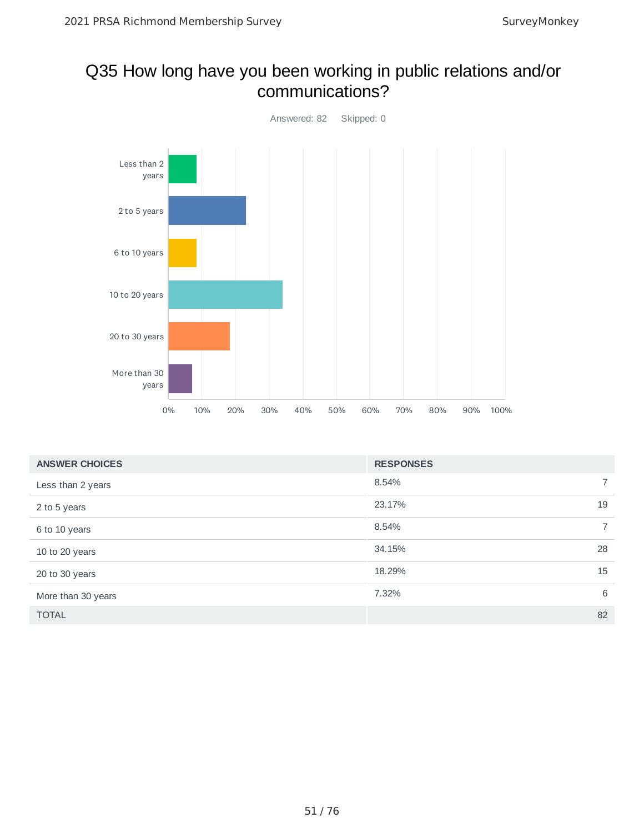### Q35 How long have you been working in public relations and/or communications?



| <b>ANSWER CHOICES</b> | <b>RESPONSES</b> |                |
|-----------------------|------------------|----------------|
| Less than 2 years     | 8.54%            | $\overline{7}$ |
| 2 to 5 years          | 23.17%           | 19             |
| 6 to 10 years         | 8.54%            | $\overline{7}$ |
| 10 to 20 years        | 34.15%           | 28             |
| 20 to 30 years        | 18.29%           | 15             |
| More than 30 years    | 7.32%            | 6              |
| <b>TOTAL</b>          |                  | 82             |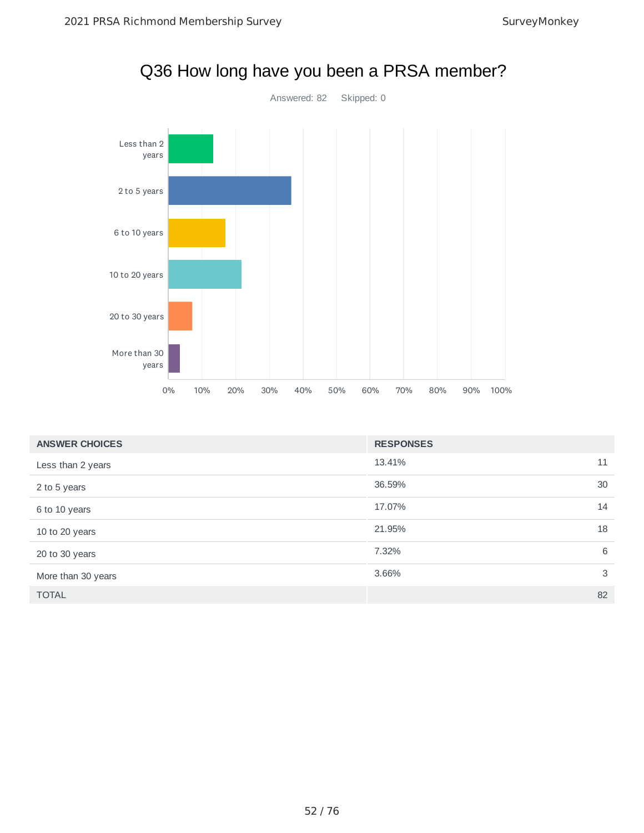

| <b>ANSWER CHOICES</b> | <b>RESPONSES</b> |    |
|-----------------------|------------------|----|
| Less than 2 years     | 13.41%           | 11 |
| 2 to 5 years          | 36.59%           | 30 |
| 6 to 10 years         | 17.07%           | 14 |
| 10 to 20 years        | 21.95%           | 18 |
| 20 to 30 years        | 7.32%            | 6  |
| More than 30 years    | 3.66%            | 3  |
| <b>TOTAL</b>          |                  | 82 |

### Q36 How long have you been a PRSA member?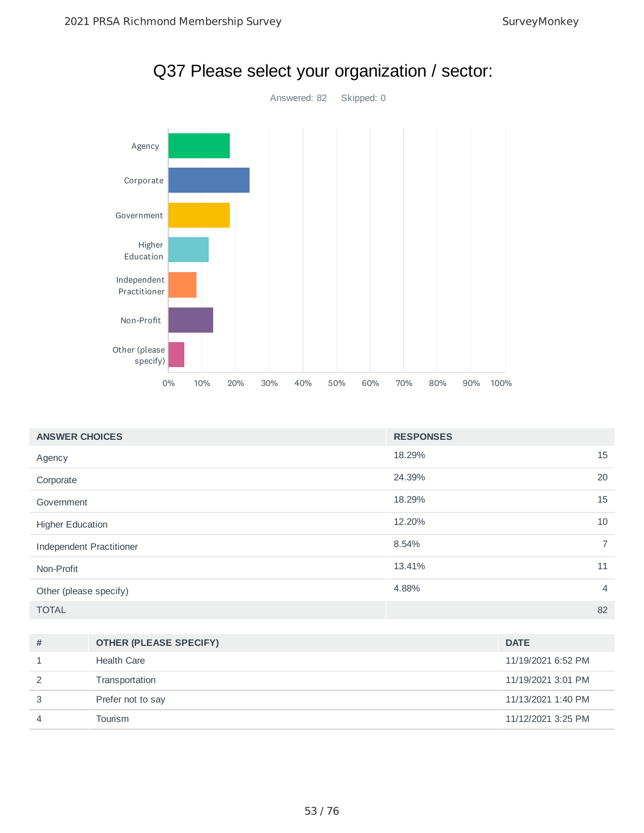

| <b>ANSWER CHOICES</b>    | <b>RESPONSES</b> |    |
|--------------------------|------------------|----|
| Agency                   | 18.29%           | 15 |
| Corporate                | 24.39%           | 20 |
| Government               | 18.29%           | 15 |
| <b>Higher Education</b>  | 12.20%           | 10 |
| Independent Practitioner | 8.54%            | 7  |
| Non-Profit               | 13.41%           | 11 |
| Other (please specify)   | 4.88%            | 4  |
| <b>TOTAL</b>             |                  | 82 |

| # | <b>OTHER (PLEASE SPECIFY)</b> | <b>DATE</b>        |
|---|-------------------------------|--------------------|
|   | <b>Health Care</b>            | 11/19/2021 6:52 PM |
|   | Transportation                | 11/19/2021 3:01 PM |
| 3 | Prefer not to say             | 11/13/2021 1:40 PM |
| 4 | Tourism                       | 11/12/2021 3:25 PM |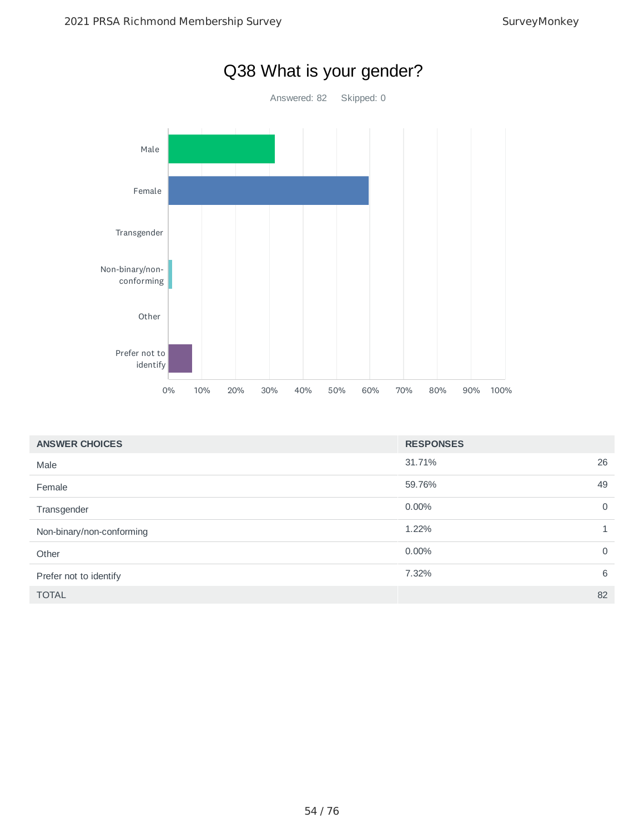

| <b>ANSWER CHOICES</b>     | <b>RESPONSES</b> |                |
|---------------------------|------------------|----------------|
| Male                      | 31.71%           | 26             |
| Female                    | 59.76%           | 49             |
| Transgender               | $0.00\%$         | $\overline{0}$ |
| Non-binary/non-conforming | 1.22%            | $\mathbf{1}$   |
| Other                     | 0.00%            | $\mathbf 0$    |
| Prefer not to identify    | 7.32%            | 6              |
| <b>TOTAL</b>              |                  | 82             |

### Q38 What is your gender?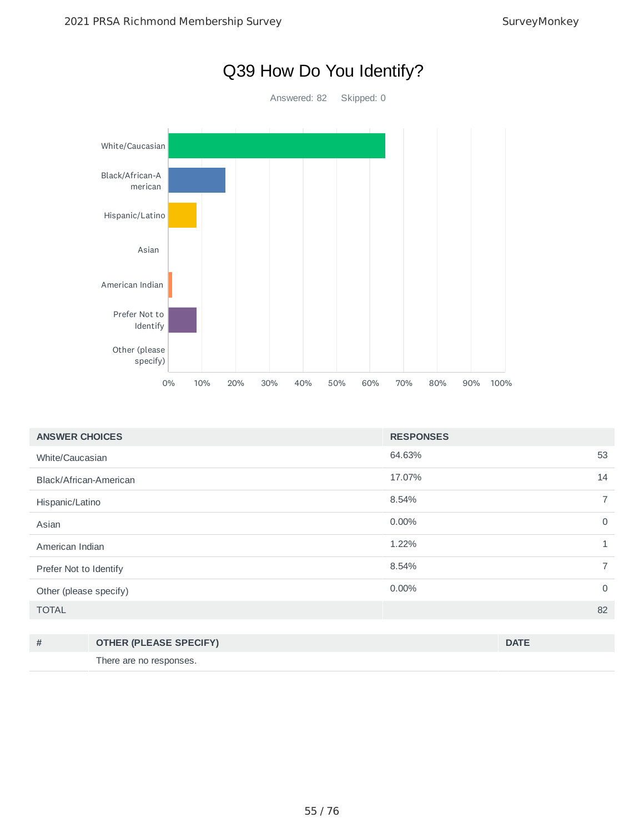

| <b>ANSWER CHOICES</b>  | <b>RESPONSES</b> |                |
|------------------------|------------------|----------------|
| White/Caucasian        | 64.63%           | 53             |
| Black/African-American | 17.07%           | 14             |
| Hispanic/Latino        | 8.54%            | $\overline{7}$ |
| Asian                  | 0.00%            | $\mathbf 0$    |
| American Indian        | 1.22%            | $\mathbf{1}$   |
| Prefer Not to Identify | 8.54%            | $\overline{7}$ |
| Other (please specify) | $0.00\%$         | $\mathbf 0$    |
| <b>TOTAL</b>           |                  | 82             |
|                        |                  |                |

| <b>OTHER (PLEASE SPECIFY)</b> | <b>DATE</b> |
|-------------------------------|-------------|
| There are no responses.       |             |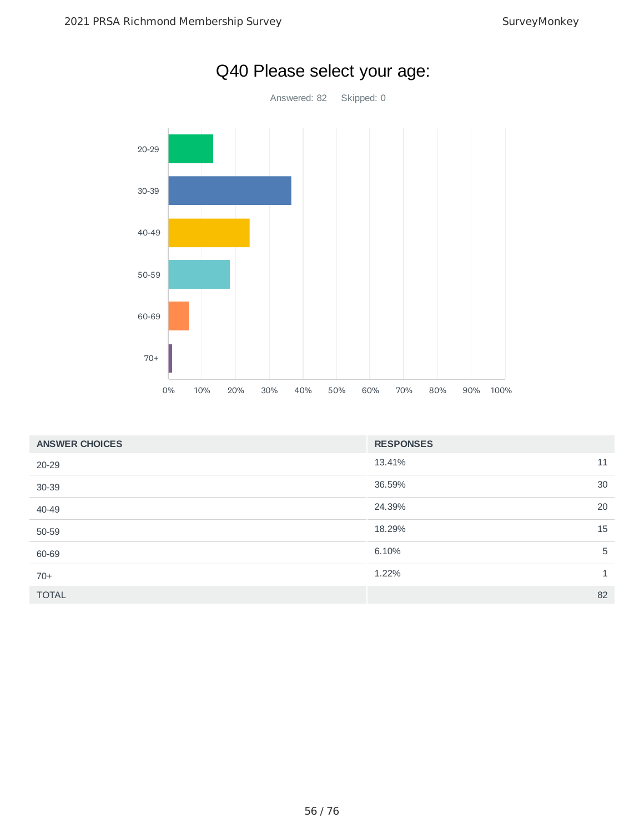

| Q40 Please select your age: |  |  |  |
|-----------------------------|--|--|--|
|-----------------------------|--|--|--|

| <b>ANSWER CHOICES</b> | <b>RESPONSES</b> |    |
|-----------------------|------------------|----|
| 20-29                 | 13.41%           | 11 |
| 30-39                 | 36.59%           | 30 |
| 40-49                 | 24.39%           | 20 |
| 50-59                 | 18.29%           | 15 |
| 60-69                 | 6.10%            | 5  |
| $70+$                 | 1.22%            | 1  |
| <b>TOTAL</b>          |                  | 82 |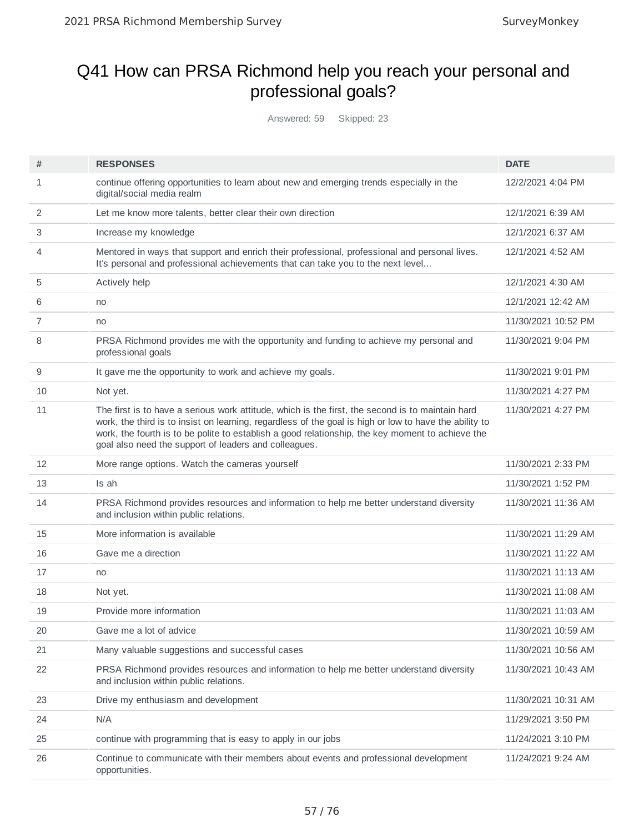## Q41 How can PRSA Richmond help you reach your personal and professional goals?

Answered: 59 Skipped: 23

| #  | <b>RESPONSES</b>                                                                                                                                                                                                                                                                                                                                                        | <b>DATE</b>         |
|----|-------------------------------------------------------------------------------------------------------------------------------------------------------------------------------------------------------------------------------------------------------------------------------------------------------------------------------------------------------------------------|---------------------|
| 1  | continue offering opportunities to learn about new and emerging trends especially in the<br>digital/social media realm                                                                                                                                                                                                                                                  | 12/2/2021 4:04 PM   |
| 2  | Let me know more talents, better clear their own direction                                                                                                                                                                                                                                                                                                              | 12/1/2021 6:39 AM   |
| 3  | Increase my knowledge                                                                                                                                                                                                                                                                                                                                                   | 12/1/2021 6:37 AM   |
| 4  | Mentored in ways that support and enrich their professional, professional and personal lives.<br>It's personal and professional achievements that can take you to the next level                                                                                                                                                                                        | 12/1/2021 4:52 AM   |
| 5  | Actively help                                                                                                                                                                                                                                                                                                                                                           | 12/1/2021 4:30 AM   |
| 6  | no                                                                                                                                                                                                                                                                                                                                                                      | 12/1/2021 12:42 AM  |
| 7  | no                                                                                                                                                                                                                                                                                                                                                                      | 11/30/2021 10:52 PM |
| 8  | PRSA Richmond provides me with the opportunity and funding to achieve my personal and<br>professional goals                                                                                                                                                                                                                                                             | 11/30/2021 9:04 PM  |
| 9  | It gave me the opportunity to work and achieve my goals.                                                                                                                                                                                                                                                                                                                | 11/30/2021 9:01 PM  |
| 10 | Not yet.                                                                                                                                                                                                                                                                                                                                                                | 11/30/2021 4:27 PM  |
| 11 | The first is to have a serious work attitude, which is the first, the second is to maintain hard<br>work, the third is to insist on learning, regardless of the goal is high or low to have the ability to<br>work, the fourth is to be polite to establish a good relationship, the key moment to achieve the<br>goal also need the support of leaders and colleagues. | 11/30/2021 4:27 PM  |
| 12 | More range options. Watch the cameras yourself                                                                                                                                                                                                                                                                                                                          | 11/30/2021 2:33 PM  |
| 13 | Is ah                                                                                                                                                                                                                                                                                                                                                                   | 11/30/2021 1:52 PM  |
| 14 | PRSA Richmond provides resources and information to help me better understand diversity<br>and inclusion within public relations.                                                                                                                                                                                                                                       | 11/30/2021 11:36 AM |
| 15 | More information is available                                                                                                                                                                                                                                                                                                                                           | 11/30/2021 11:29 AM |
| 16 | Gave me a direction                                                                                                                                                                                                                                                                                                                                                     | 11/30/2021 11:22 AM |
| 17 | no                                                                                                                                                                                                                                                                                                                                                                      | 11/30/2021 11:13 AM |
| 18 | Not yet.                                                                                                                                                                                                                                                                                                                                                                | 11/30/2021 11:08 AM |
| 19 | Provide more information                                                                                                                                                                                                                                                                                                                                                | 11/30/2021 11:03 AM |
| 20 | Gave me a lot of advice                                                                                                                                                                                                                                                                                                                                                 | 11/30/2021 10:59 AM |
| 21 | Many valuable suggestions and successful cases                                                                                                                                                                                                                                                                                                                          | 11/30/2021 10:56 AM |
| 22 | PRSA Richmond provides resources and information to help me better understand diversity<br>and inclusion within public relations.                                                                                                                                                                                                                                       | 11/30/2021 10:43 AM |
| 23 | Drive my enthusiasm and development                                                                                                                                                                                                                                                                                                                                     | 11/30/2021 10:31 AM |
| 24 | N/A                                                                                                                                                                                                                                                                                                                                                                     | 11/29/2021 3:50 PM  |
| 25 | continue with programming that is easy to apply in our jobs                                                                                                                                                                                                                                                                                                             | 11/24/2021 3:10 PM  |
| 26 | Continue to communicate with their members about events and professional development<br>opportunities.                                                                                                                                                                                                                                                                  | 11/24/2021 9:24 AM  |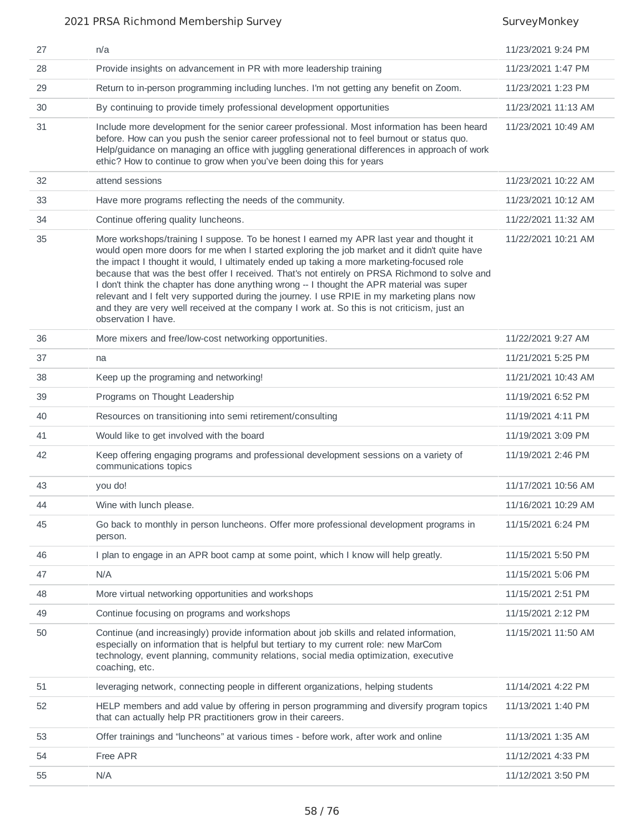#### 2021 PRSA Richmond Membership Survey Survey Monkey

| 27 | n/a                                                                                                                                                                                                                                                                                                                                                                                                                                                                                                                                                                                                                                                                                                       | 11/23/2021 9:24 PM  |
|----|-----------------------------------------------------------------------------------------------------------------------------------------------------------------------------------------------------------------------------------------------------------------------------------------------------------------------------------------------------------------------------------------------------------------------------------------------------------------------------------------------------------------------------------------------------------------------------------------------------------------------------------------------------------------------------------------------------------|---------------------|
| 28 | Provide insights on advancement in PR with more leadership training                                                                                                                                                                                                                                                                                                                                                                                                                                                                                                                                                                                                                                       | 11/23/2021 1:47 PM  |
| 29 | Return to in-person programming including lunches. I'm not getting any benefit on Zoom.                                                                                                                                                                                                                                                                                                                                                                                                                                                                                                                                                                                                                   | 11/23/2021 1:23 PM  |
| 30 | By continuing to provide timely professional development opportunities                                                                                                                                                                                                                                                                                                                                                                                                                                                                                                                                                                                                                                    | 11/23/2021 11:13 AM |
| 31 | Include more development for the senior career professional. Most information has been heard<br>before. How can you push the senior career professional not to feel burnout or status quo.<br>Help/guidance on managing an office with juggling generational differences in approach of work<br>ethic? How to continue to grow when you've been doing this for years                                                                                                                                                                                                                                                                                                                                      | 11/23/2021 10:49 AM |
| 32 | attend sessions                                                                                                                                                                                                                                                                                                                                                                                                                                                                                                                                                                                                                                                                                           | 11/23/2021 10:22 AM |
| 33 | Have more programs reflecting the needs of the community.                                                                                                                                                                                                                                                                                                                                                                                                                                                                                                                                                                                                                                                 | 11/23/2021 10:12 AM |
| 34 | Continue offering quality luncheons.                                                                                                                                                                                                                                                                                                                                                                                                                                                                                                                                                                                                                                                                      | 11/22/2021 11:32 AM |
| 35 | More workshops/training I suppose. To be honest I earned my APR last year and thought it<br>would open more doors for me when I started exploring the job market and it didn't quite have<br>the impact I thought it would, I ultimately ended up taking a more marketing-focused role<br>because that was the best offer I received. That's not entirely on PRSA Richmond to solve and<br>I don't think the chapter has done anything wrong -- I thought the APR material was super<br>relevant and I felt very supported during the journey. I use RPIE in my marketing plans now<br>and they are very well received at the company I work at. So this is not criticism, just an<br>observation I have. | 11/22/2021 10:21 AM |
| 36 | More mixers and free/low-cost networking opportunities.                                                                                                                                                                                                                                                                                                                                                                                                                                                                                                                                                                                                                                                   | 11/22/2021 9:27 AM  |
| 37 | na                                                                                                                                                                                                                                                                                                                                                                                                                                                                                                                                                                                                                                                                                                        | 11/21/2021 5:25 PM  |
| 38 | Keep up the programing and networking!                                                                                                                                                                                                                                                                                                                                                                                                                                                                                                                                                                                                                                                                    | 11/21/2021 10:43 AM |
| 39 | Programs on Thought Leadership                                                                                                                                                                                                                                                                                                                                                                                                                                                                                                                                                                                                                                                                            | 11/19/2021 6:52 PM  |
| 40 | Resources on transitioning into semi retirement/consulting                                                                                                                                                                                                                                                                                                                                                                                                                                                                                                                                                                                                                                                | 11/19/2021 4:11 PM  |
| 41 | Would like to get involved with the board                                                                                                                                                                                                                                                                                                                                                                                                                                                                                                                                                                                                                                                                 | 11/19/2021 3:09 PM  |
| 42 | Keep offering engaging programs and professional development sessions on a variety of<br>communications topics                                                                                                                                                                                                                                                                                                                                                                                                                                                                                                                                                                                            | 11/19/2021 2:46 PM  |
| 43 | you do!                                                                                                                                                                                                                                                                                                                                                                                                                                                                                                                                                                                                                                                                                                   | 11/17/2021 10:56 AM |
| 44 | Wine with lunch please.                                                                                                                                                                                                                                                                                                                                                                                                                                                                                                                                                                                                                                                                                   | 11/16/2021 10:29 AM |
| 45 | Go back to monthly in person luncheons. Offer more professional development programs in<br>person.                                                                                                                                                                                                                                                                                                                                                                                                                                                                                                                                                                                                        | 11/15/2021 6:24 PM  |
| 46 | I plan to engage in an APR boot camp at some point, which I know will help greatly.                                                                                                                                                                                                                                                                                                                                                                                                                                                                                                                                                                                                                       | 11/15/2021 5:50 PM  |
| 47 | N/A                                                                                                                                                                                                                                                                                                                                                                                                                                                                                                                                                                                                                                                                                                       | 11/15/2021 5:06 PM  |
| 48 | More virtual networking opportunities and workshops                                                                                                                                                                                                                                                                                                                                                                                                                                                                                                                                                                                                                                                       | 11/15/2021 2:51 PM  |
| 49 | Continue focusing on programs and workshops                                                                                                                                                                                                                                                                                                                                                                                                                                                                                                                                                                                                                                                               | 11/15/2021 2:12 PM  |
| 50 | Continue (and increasingly) provide information about job skills and related information,<br>especially on information that is helpful but tertiary to my current role: new MarCom<br>technology, event planning, community relations, social media optimization, executive<br>coaching, etc.                                                                                                                                                                                                                                                                                                                                                                                                             | 11/15/2021 11:50 AM |
| 51 | leveraging network, connecting people in different organizations, helping students                                                                                                                                                                                                                                                                                                                                                                                                                                                                                                                                                                                                                        | 11/14/2021 4:22 PM  |
| 52 | HELP members and add value by offering in person programming and diversify program topics<br>that can actually help PR practitioners grow in their careers.                                                                                                                                                                                                                                                                                                                                                                                                                                                                                                                                               | 11/13/2021 1:40 PM  |
| 53 | Offer trainings and "luncheons" at various times - before work, after work and online                                                                                                                                                                                                                                                                                                                                                                                                                                                                                                                                                                                                                     | 11/13/2021 1:35 AM  |
| 54 | Free APR                                                                                                                                                                                                                                                                                                                                                                                                                                                                                                                                                                                                                                                                                                  | 11/12/2021 4:33 PM  |
| 55 | N/A                                                                                                                                                                                                                                                                                                                                                                                                                                                                                                                                                                                                                                                                                                       | 11/12/2021 3:50 PM  |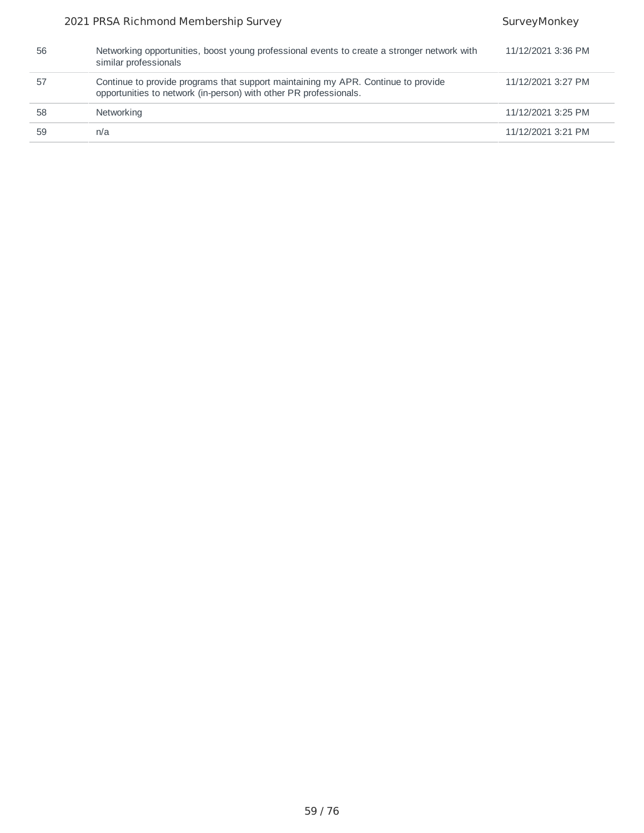#### 2021 PRSA Richmond Membership Survey Survey Survey Monkey

| 56 | Networking opportunities, boost young professional events to create a stronger network with<br>similar professionals                                   | 11/12/2021 3:36 PM |
|----|--------------------------------------------------------------------------------------------------------------------------------------------------------|--------------------|
| 57 | Continue to provide programs that support maintaining my APR. Continue to provide<br>opportunities to network (in-person) with other PR professionals. | 11/12/2021 3:27 PM |
| 58 | Networking                                                                                                                                             | 11/12/2021 3:25 PM |
| 59 | n/a                                                                                                                                                    | 11/12/2021 3:21 PM |
|    |                                                                                                                                                        |                    |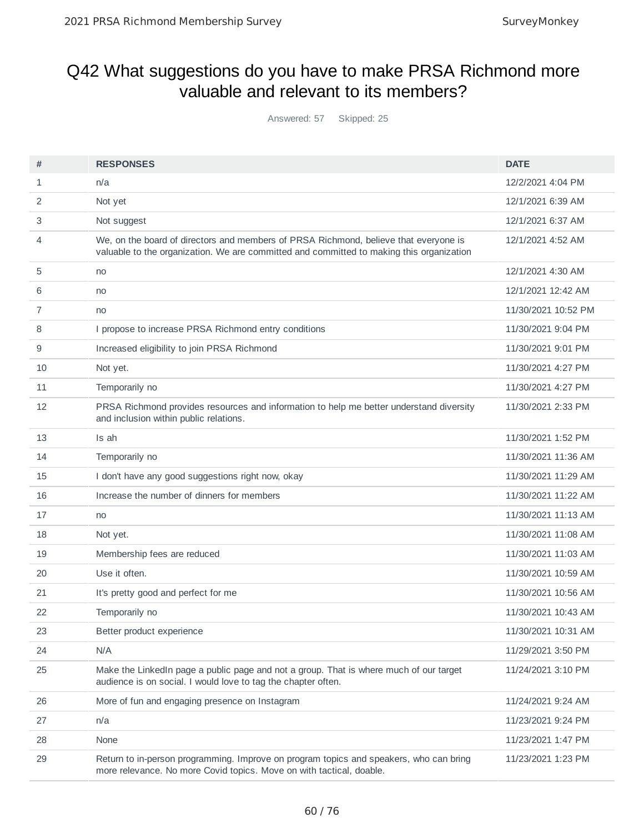## Q42 What suggestions do you have to make PRSA Richmond more valuable and relevant to its members?

Answered: 57 Skipped: 25

| #  | <b>RESPONSES</b>                                                                                                                                                                 | <b>DATE</b>         |
|----|----------------------------------------------------------------------------------------------------------------------------------------------------------------------------------|---------------------|
| 1  | n/a                                                                                                                                                                              | 12/2/2021 4:04 PM   |
|    |                                                                                                                                                                                  |                     |
| 2  | Not yet                                                                                                                                                                          | 12/1/2021 6:39 AM   |
| 3  | Not suggest                                                                                                                                                                      | 12/1/2021 6:37 AM   |
| 4  | We, on the board of directors and members of PRSA Richmond, believe that everyone is<br>valuable to the organization. We are committed and committed to making this organization | 12/1/2021 4:52 AM   |
| 5  | no                                                                                                                                                                               | 12/1/2021 4:30 AM   |
| 6  | no                                                                                                                                                                               | 12/1/2021 12:42 AM  |
| 7  | no                                                                                                                                                                               | 11/30/2021 10:52 PM |
| 8  | I propose to increase PRSA Richmond entry conditions                                                                                                                             | 11/30/2021 9:04 PM  |
| 9  | Increased eligibility to join PRSA Richmond                                                                                                                                      | 11/30/2021 9:01 PM  |
| 10 | Not yet.                                                                                                                                                                         | 11/30/2021 4:27 PM  |
| 11 | Temporarily no                                                                                                                                                                   | 11/30/2021 4:27 PM  |
| 12 | PRSA Richmond provides resources and information to help me better understand diversity<br>and inclusion within public relations.                                                | 11/30/2021 2:33 PM  |
| 13 | Is ah                                                                                                                                                                            | 11/30/2021 1:52 PM  |
| 14 | Temporarily no                                                                                                                                                                   | 11/30/2021 11:36 AM |
| 15 | I don't have any good suggestions right now, okay                                                                                                                                | 11/30/2021 11:29 AM |
| 16 | Increase the number of dinners for members                                                                                                                                       | 11/30/2021 11:22 AM |
| 17 | no                                                                                                                                                                               | 11/30/2021 11:13 AM |
| 18 | Not yet.                                                                                                                                                                         | 11/30/2021 11:08 AM |
| 19 | Membership fees are reduced                                                                                                                                                      | 11/30/2021 11:03 AM |
| 20 | Use it often.                                                                                                                                                                    | 11/30/2021 10:59 AM |
| 21 | It's pretty good and perfect for me                                                                                                                                              | 11/30/2021 10:56 AM |
| 22 | Temporarily no                                                                                                                                                                   | 11/30/2021 10:43 AM |
| 23 | Better product experience                                                                                                                                                        | 11/30/2021 10:31 AM |
| 24 | N/A                                                                                                                                                                              | 11/29/2021 3:50 PM  |
| 25 | Make the LinkedIn page a public page and not a group. That is where much of our target<br>audience is on social. I would love to tag the chapter often.                          | 11/24/2021 3:10 PM  |
| 26 | More of fun and engaging presence on Instagram                                                                                                                                   | 11/24/2021 9:24 AM  |
| 27 | n/a                                                                                                                                                                              | 11/23/2021 9:24 PM  |
| 28 | None                                                                                                                                                                             | 11/23/2021 1:47 PM  |
| 29 | Return to in-person programming. Improve on program topics and speakers, who can bring<br>more relevance. No more Covid topics. Move on with tactical, doable.                   | 11/23/2021 1:23 PM  |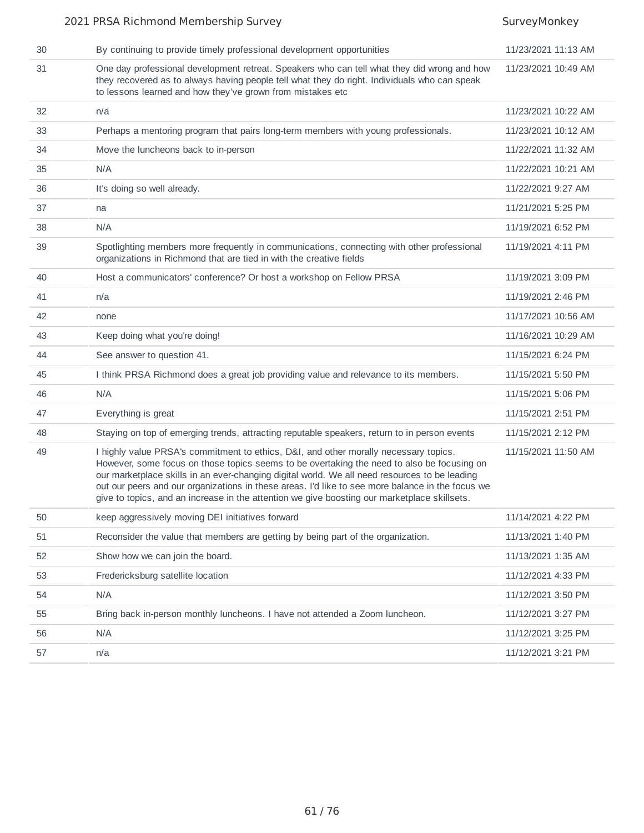#### 2021 PRSA Richmond Membership Survey Survey Survey SurveyMonkey 30 By continuing to provide timely professional development opportunities 11/23/2021 11:13 AM One day professional development retreat. Speakers who can tell what they did wrong and how they recovered as to always having people tell what they do right. Individuals who can speak to lessons learned and how they've grown from mistakes etc 11/23/2021 10:49 AM n/a 11/23/2021 10:22 AM Perhaps a mentoring program that pairs long-term members with young professionals. 11/23/2021 10:12 AM Move the luncheons back to in-person 11/22/2021 11:32 AM N/A 11/22/2021 10:21 AM It's doing so well already. 11/22/2021 9:27 AM na 11/21/2021 5:25 PM N/A 11/19/2021 6:52 PM Spotlighting members more frequently in communications, connecting with other professional organizations in Richmond that are tied in with the creative fields 11/19/2021 4:11 PM Host a communicators' conference? Or host a workshop on Fellow PRSA 11/19/2021 3:09 PM n/a 11/19/2021 2:46 PM 42 none 11/17/2021 10:56 AM Keep doing what you're doing! 11/16/2021 10:29 AM See answer to question 41. 11/15/2021 6:24 PM I think PRSA Richmond does a great job providing value and relevance to its members. 11/15/2021 5:50 PM N/A 11/15/2021 5:06 PM Everything is great 11/15/2021 2:51 PM Staying on top of emerging trends, attracting reputable speakers, return to in person events 11/15/2021 2:12 PM I highly value PRSA's commitment to ethics, D&I, and other morally necessary topics. However, some focus on those topics seems to be overtaking the need to also be focusing on our marketplace skills in an ever-changing digital world. We all need resources to be leading out our peers and our organizations in these areas. I'd like to see more balance in the focus we give to topics, and an increase in the attention we give boosting our marketplace skillsets. 11/15/2021 11:50 AM 50 keep aggressively moving DEI initiatives forward 11/11/12021 4:22 PM Reconsider the value that members are getting by being part of the organization. 11/13/2021 1:40 PM 52 Show how we can join the board. 15 AM Show how we can join the board. 11/13/2021 1:35 AM Fredericksburg satellite location 11/12/2021 4:33 PM N/A 11/12/2021 3:50 PM Bring back in-person monthly luncheons. I have not attended a Zoom luncheon. 11/12/2021 3:27 PM N/A 11/12/2021 3:25 PM n/a 11/12/2021 3:21 PM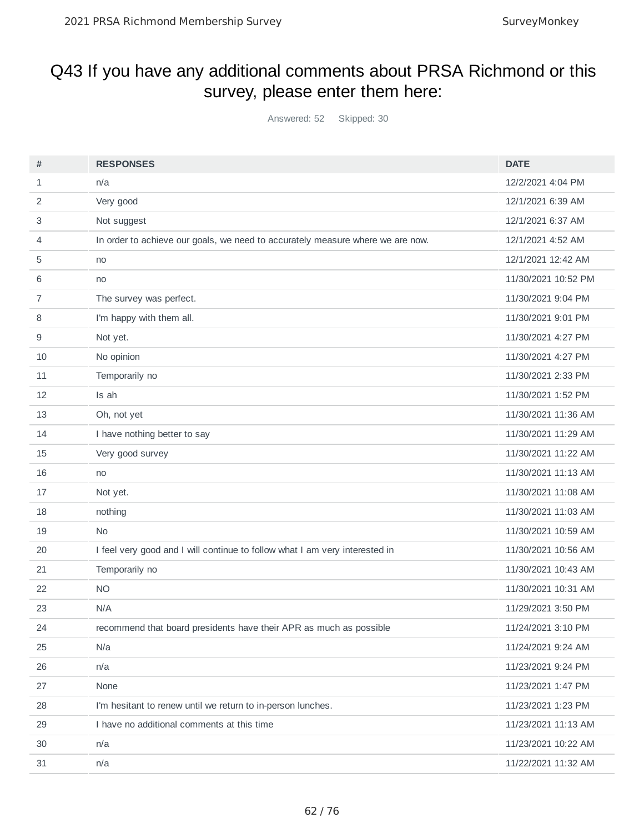## Q43 If you have any additional comments about PRSA Richmond or this survey, please enter them here:

Answered: 52 Skipped: 30

| #  | <b>RESPONSES</b>                                                               | <b>DATE</b>         |
|----|--------------------------------------------------------------------------------|---------------------|
| 1  | n/a                                                                            | 12/2/2021 4:04 PM   |
| 2  | Very good                                                                      | 12/1/2021 6:39 AM   |
| 3  | Not suggest                                                                    | 12/1/2021 6:37 AM   |
| 4  | In order to achieve our goals, we need to accurately measure where we are now. | 12/1/2021 4:52 AM   |
| 5  | no                                                                             | 12/1/2021 12:42 AM  |
| 6  | no                                                                             | 11/30/2021 10:52 PM |
| 7  | The survey was perfect.                                                        | 11/30/2021 9:04 PM  |
| 8  | I'm happy with them all.                                                       | 11/30/2021 9:01 PM  |
| 9  | Not yet.                                                                       | 11/30/2021 4:27 PM  |
| 10 | No opinion                                                                     | 11/30/2021 4:27 PM  |
| 11 | Temporarily no                                                                 | 11/30/2021 2:33 PM  |
| 12 | Is ah                                                                          | 11/30/2021 1:52 PM  |
| 13 | Oh, not yet                                                                    | 11/30/2021 11:36 AM |
| 14 | I have nothing better to say                                                   | 11/30/2021 11:29 AM |
| 15 | Very good survey                                                               | 11/30/2021 11:22 AM |
| 16 | no                                                                             | 11/30/2021 11:13 AM |
| 17 | Not yet.                                                                       | 11/30/2021 11:08 AM |
| 18 | nothing                                                                        | 11/30/2021 11:03 AM |
| 19 | <b>No</b>                                                                      | 11/30/2021 10:59 AM |
| 20 | I feel very good and I will continue to follow what I am very interested in    | 11/30/2021 10:56 AM |
| 21 | Temporarily no                                                                 | 11/30/2021 10:43 AM |
| 22 | NO.                                                                            | 11/30/2021 10:31 AM |
| 23 | N/A                                                                            | 11/29/2021 3:50 PM  |
| 24 | recommend that board presidents have their APR as much as possible             | 11/24/2021 3:10 PM  |
| 25 | N/a                                                                            | 11/24/2021 9:24 AM  |
| 26 | n/a                                                                            | 11/23/2021 9:24 PM  |
| 27 | None                                                                           | 11/23/2021 1:47 PM  |
| 28 | I'm hesitant to renew until we return to in-person lunches.                    | 11/23/2021 1:23 PM  |
| 29 | I have no additional comments at this time                                     | 11/23/2021 11:13 AM |
| 30 | n/a                                                                            | 11/23/2021 10:22 AM |
| 31 | n/a                                                                            | 11/22/2021 11:32 AM |